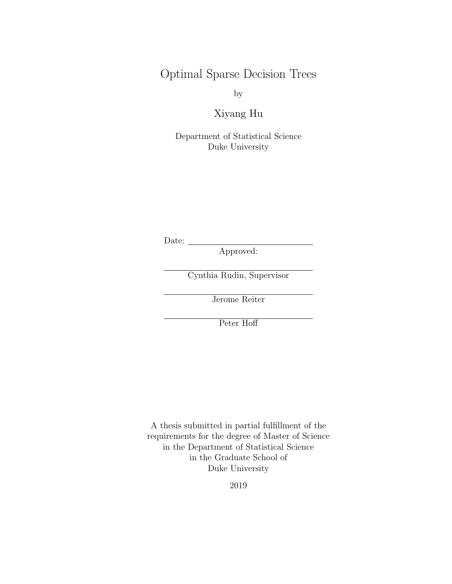Optimal Sparse Decision Trees

by

Xiyang Hu

Department of Statistical Science Duke University

Date: \_\_\_

Approved:

Cynthia Rudin, Supervisor

Jerome Reiter

Peter Hoff

A thesis submitted in partial fulfillment of the requirements for the degree of Master of Science in the Department of Statistical Science in the Graduate School of Duke University

2019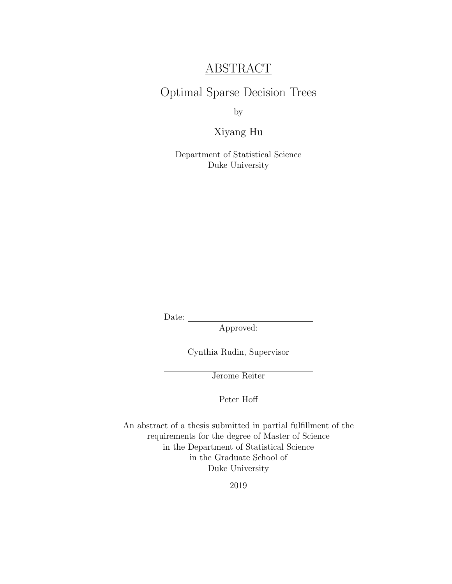### ABSTRACT

### Optimal Sparse Decision Trees

by

#### Xiyang Hu

Department of Statistical Science Duke University

Date:

Approved:

Cynthia Rudin, Supervisor

Jerome Reiter

Peter Hoff

An abstract of a thesis submitted in partial fulfillment of the requirements for the degree of Master of Science in the Department of Statistical Science in the Graduate School of Duke University

2019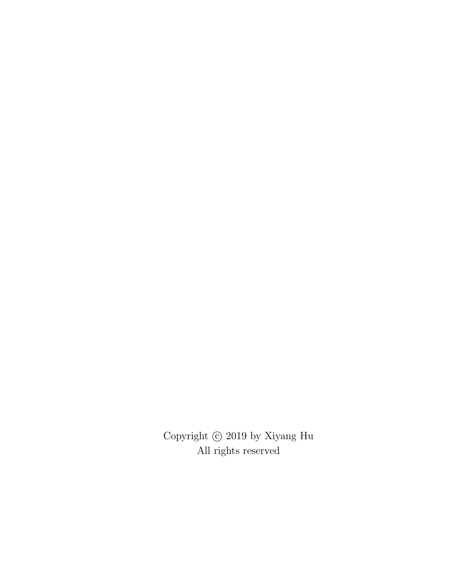Copyright  $\copyright$  2019 by Xiyang Hu All rights reserved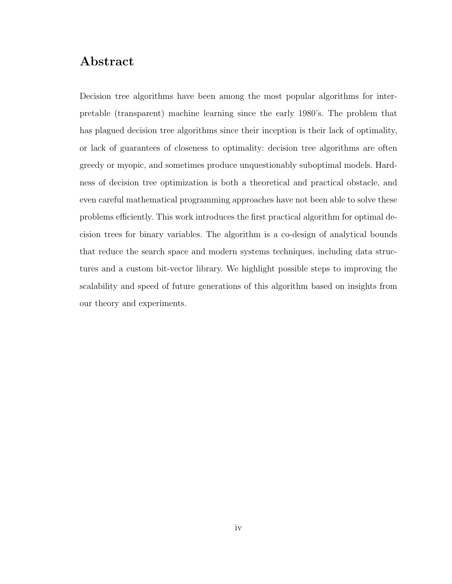### Abstract

Decision tree algorithms have been among the most popular algorithms for interpretable (transparent) machine learning since the early 1980's. The problem that has plagued decision tree algorithms since their inception is their lack of optimality, or lack of guarantees of closeness to optimality: decision tree algorithms are often greedy or myopic, and sometimes produce unquestionably suboptimal models. Hardness of decision tree optimization is both a theoretical and practical obstacle, and even careful mathematical programming approaches have not been able to solve these problems efficiently. This work introduces the first practical algorithm for optimal decision trees for binary variables. The algorithm is a co-design of analytical bounds that reduce the search space and modern systems techniques, including data structures and a custom bit-vector library. We highlight possible steps to improving the scalability and speed of future generations of this algorithm based on insights from our theory and experiments.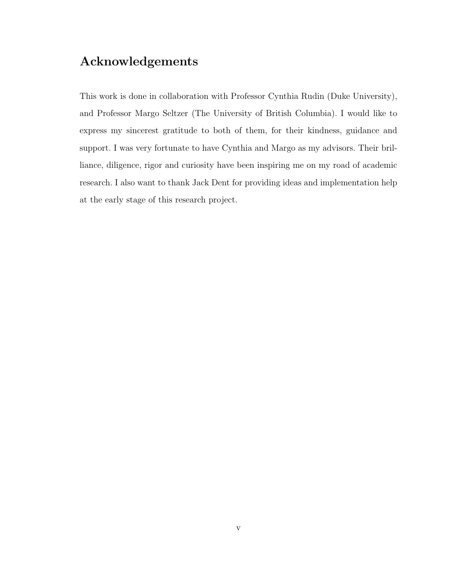### Acknowledgements

This work is done in collaboration with Professor Cynthia Rudin (Duke University), and Professor Margo Seltzer (The University of British Columbia). I would like to express my sincerest gratitude to both of them, for their kindness, guidance and support. I was very fortunate to have Cynthia and Margo as my advisors. Their brilliance, diligence, rigor and curiosity have been inspiring me on my road of academic research. I also want to thank Jack Dent for providing ideas and implementation help at the early stage of this research project.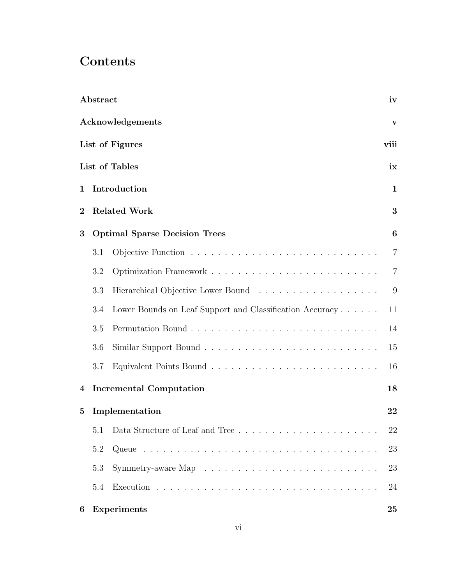# **Contents**

|                  | Abstract |                                                                                  | iv               |
|------------------|----------|----------------------------------------------------------------------------------|------------------|
|                  |          | Acknowledgements                                                                 | v                |
|                  |          | List of Figures                                                                  | viii             |
|                  |          | List of Tables                                                                   | ix               |
| 1                |          | Introduction                                                                     | $\mathbf{1}$     |
| $\boldsymbol{2}$ |          | <b>Related Work</b>                                                              | 3                |
| 3                |          | <b>Optimal Sparse Decision Trees</b>                                             | $\boldsymbol{6}$ |
|                  | 3.1      |                                                                                  | $\overline{7}$   |
|                  | 3.2      |                                                                                  | $\overline{7}$   |
|                  | 3.3      |                                                                                  | 9                |
|                  | 3.4      | Lower Bounds on Leaf Support and Classification Accuracy                         | 11               |
|                  | 3.5      |                                                                                  | 14               |
|                  | 3.6      |                                                                                  | 15               |
|                  | 3.7      |                                                                                  | 16               |
| 4                |          | <b>Incremental Computation</b>                                                   | 18               |
| 5                |          | Implementation                                                                   | 22               |
|                  | 5.1      | Data Structure of Leaf and Tree                                                  | 22               |
|                  | 5.2      |                                                                                  | 23               |
|                  | 5.3      | Symmetry-aware Map $\dots \dots \dots \dots \dots \dots \dots \dots \dots \dots$ | 23               |
|                  | 5.4      |                                                                                  | 24               |
| 6                |          | <b>Experiments</b>                                                               | 25               |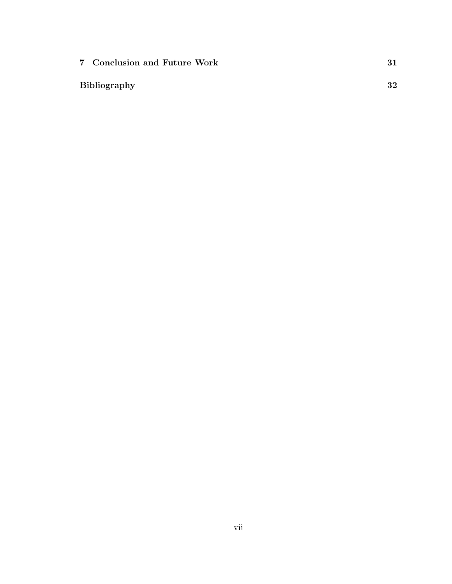| 7 Conclusion and Future Work |    |
|------------------------------|----|
|                              | 32 |
|                              |    |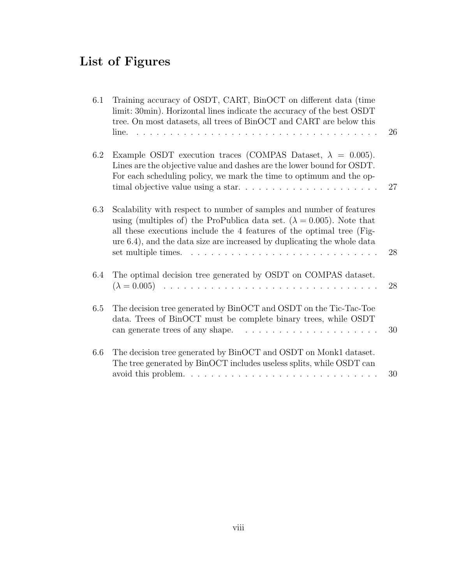# List of Figures

| 6.1 | Training accuracy of OSDT, CART, BinOCT on different data (time<br>limit: 30min). Horizontal lines indicate the accuracy of the best OSDT<br>tree. On most datasets, all trees of BinOCT and CART are below this<br>line.                                                                                                         | 26 |
|-----|-----------------------------------------------------------------------------------------------------------------------------------------------------------------------------------------------------------------------------------------------------------------------------------------------------------------------------------|----|
| 6.2 | Example OSDT execution traces (COMPAS Dataset, $\lambda = 0.005$ ).<br>Lines are the objective value and dashes are the lower bound for OSDT.<br>For each scheduling policy, we mark the time to optimum and the op-                                                                                                              | 27 |
| 6.3 | Scalability with respect to number of samples and number of features<br>using (multiples of) the ProPublica data set. ( $\lambda = 0.005$ ). Note that<br>all these executions include the 4 features of the optimal tree (Fig-<br>ure 6.4), and the data size are increased by duplicating the whole data<br>set multiple times. | 28 |
| 6.4 | The optimal decision tree generated by OSDT on COMPAS dataset.                                                                                                                                                                                                                                                                    | 28 |
| 6.5 | The decision tree generated by BinOCT and OSDT on the Tic-Tac-Toe<br>data. Trees of BinOCT must be complete binary trees, while OSDT<br>can generate trees of any shape.                                                                                                                                                          | 30 |
| 6.6 | The decision tree generated by BinOCT and OSDT on Monk1 dataset.<br>The tree generated by BinOCT includes useless splits, while OSDT can<br>avoid this problem. $\ldots \ldots \ldots \ldots \ldots \ldots \ldots \ldots \ldots \ldots$                                                                                           | 30 |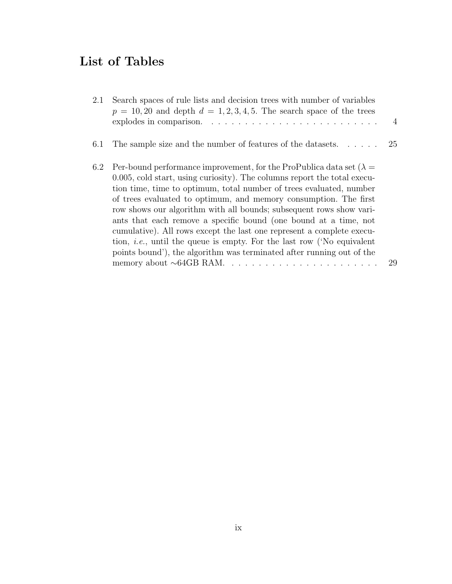# List of Tables

| 2.1 | Search spaces of rule lists and decision trees with number of variables<br>$p = 10, 20$ and depth $d = 1, 2, 3, 4, 5$ . The search space of the trees<br>explodes in comparison. $\ldots$ , $\ldots$ , $\ldots$ , $\ldots$ , $\ldots$ , $\ldots$ , $\ldots$ , $\ldots$ , $\ldots$                                                                                                                                                                                                                                                                                                                                                                                                 | $\overline{4}$ |
|-----|-----------------------------------------------------------------------------------------------------------------------------------------------------------------------------------------------------------------------------------------------------------------------------------------------------------------------------------------------------------------------------------------------------------------------------------------------------------------------------------------------------------------------------------------------------------------------------------------------------------------------------------------------------------------------------------|----------------|
| 6.1 | The sample size and the number of features of the datasets                                                                                                                                                                                                                                                                                                                                                                                                                                                                                                                                                                                                                        | 25             |
| 6.2 | Per-bound performance improvement, for the ProPublica data set $(\lambda =$<br>0.005, cold start, using curiosity). The columns report the total execu-<br>tion time, time to optimum, total number of trees evaluated, number<br>of trees evaluated to optimum, and memory consumption. The first<br>row shows our algorithm with all bounds; subsequent rows show vari-<br>ants that each remove a specific bound (one bound at a time, not<br>cumulative). All rows except the last one represent a complete execu-<br>tion, <i>i.e.</i> , until the queue is empty. For the last row ('No equivalent<br>points bound'), the algorithm was terminated after running out of the | 29             |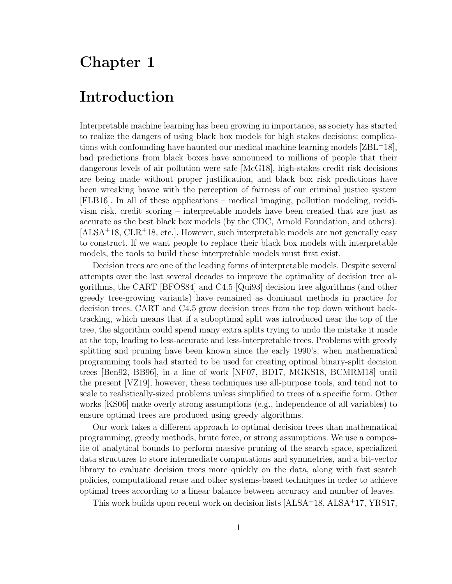# Chapter 1

# Introduction

Interpretable machine learning has been growing in importance, as society has started to realize the dangers of using black box models for high stakes decisions: complications with confounding have haunted our medical machine learning models [ZBL<sup>+</sup>18], bad predictions from black boxes have announced to millions of people that their dangerous levels of air pollution were safe [McG18], high-stakes credit risk decisions are being made without proper justification, and black box risk predictions have been wreaking havoc with the perception of fairness of our criminal justice system [FLB16]. In all of these applications – medical imaging, pollution modeling, recidivism risk, credit scoring – interpretable models have been created that are just as accurate as the best black box models (by the CDC, Arnold Foundation, and others).  $[ALSA<sup>+</sup>18, CLR<sup>+</sup>18, etc.]$ . However, such interpretable models are not generally easy to construct. If we want people to replace their black box models with interpretable models, the tools to build these interpretable models must first exist.

Decision trees are one of the leading forms of interpretable models. Despite several attempts over the last several decades to improve the optimality of decision tree algorithms, the CART [BFOS84] and C4.5 [Qui93] decision tree algorithms (and other greedy tree-growing variants) have remained as dominant methods in practice for decision trees. CART and C4.5 grow decision trees from the top down without backtracking, which means that if a suboptimal split was introduced near the top of the tree, the algorithm could spend many extra splits trying to undo the mistake it made at the top, leading to less-accurate and less-interpretable trees. Problems with greedy splitting and pruning have been known since the early 1990's, when mathematical programming tools had started to be used for creating optimal binary-split decision trees [Ben92, BB96], in a line of work [NF07, BD17, MGKS18, BCMRM18] until the present [VZ19], however, these techniques use all-purpose tools, and tend not to scale to realistically-sized problems unless simplified to trees of a specific form. Other works [KS06] make overly strong assumptions (e.g., independence of all variables) to ensure optimal trees are produced using greedy algorithms.

Our work takes a different approach to optimal decision trees than mathematical programming, greedy methods, brute force, or strong assumptions. We use a composite of analytical bounds to perform massive pruning of the search space, specialized data structures to store intermediate computations and symmetries, and a bit-vector library to evaluate decision trees more quickly on the data, along with fast search policies, computational reuse and other systems-based techniques in order to achieve optimal trees according to a linear balance between accuracy and number of leaves.

This work builds upon recent work on decision lists  $[ALSA<sup>+</sup>18, ALSA<sup>+</sup>17, YRS17,$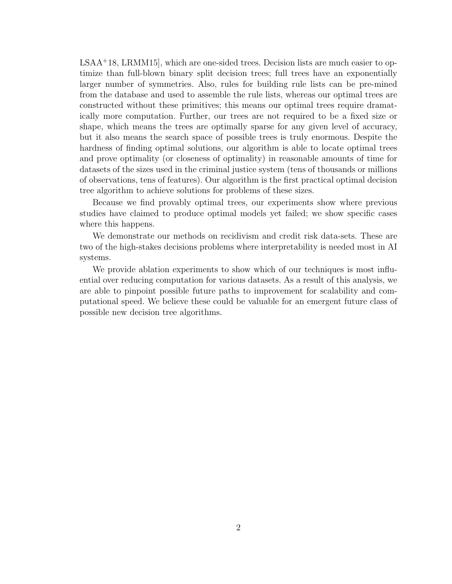LSAA<sup>+</sup>18, LRMM15], which are one-sided trees. Decision lists are much easier to optimize than full-blown binary split decision trees; full trees have an exponentially larger number of symmetries. Also, rules for building rule lists can be pre-mined from the database and used to assemble the rule lists, whereas our optimal trees are constructed without these primitives; this means our optimal trees require dramatically more computation. Further, our trees are not required to be a fixed size or shape, which means the trees are optimally sparse for any given level of accuracy, but it also means the search space of possible trees is truly enormous. Despite the hardness of finding optimal solutions, our algorithm is able to locate optimal trees and prove optimality (or closeness of optimality) in reasonable amounts of time for datasets of the sizes used in the criminal justice system (tens of thousands or millions of observations, tens of features). Our algorithm is the first practical optimal decision tree algorithm to achieve solutions for problems of these sizes.

Because we find provably optimal trees, our experiments show where previous studies have claimed to produce optimal models yet failed; we show specific cases where this happens.

We demonstrate our methods on recidivism and credit risk data-sets. These are two of the high-stakes decisions problems where interpretability is needed most in AI systems.

We provide ablation experiments to show which of our techniques is most influential over reducing computation for various datasets. As a result of this analysis, we are able to pinpoint possible future paths to improvement for scalability and computational speed. We believe these could be valuable for an emergent future class of possible new decision tree algorithms.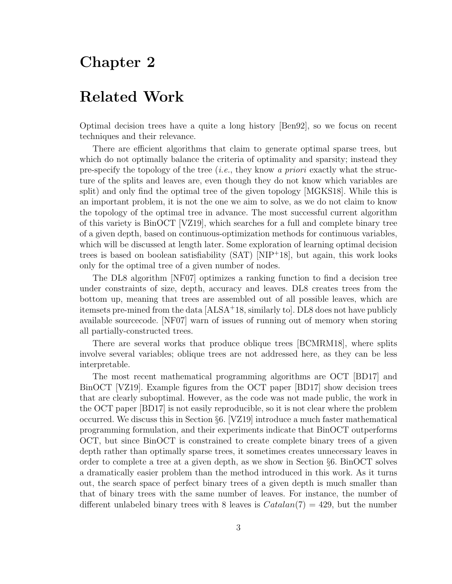## Chapter 2

### Related Work

Optimal decision trees have a quite a long history [Ben92], so we focus on recent techniques and their relevance.

There are efficient algorithms that claim to generate optimal sparse trees, but which do not optimally balance the criteria of optimality and sparsity; instead they pre-specify the topology of the tree (*i.e.*, they know a *priori* exactly what the structure of the splits and leaves are, even though they do not know which variables are split) and only find the optimal tree of the given topology [MGKS18]. While this is an important problem, it is not the one we aim to solve, as we do not claim to know the topology of the optimal tree in advance. The most successful current algorithm of this variety is BinOCT [VZ19], which searches for a full and complete binary tree of a given depth, based on continuous-optimization methods for continuous variables, which will be discussed at length later. Some exploration of learning optimal decision trees is based on boolean satisfiability (SAT) [NIP<sup>+</sup>18], but again, this work looks only for the optimal tree of a given number of nodes.

The DL8 algorithm [NF07] optimizes a ranking function to find a decision tree under constraints of size, depth, accuracy and leaves. DL8 creates trees from the bottom up, meaning that trees are assembled out of all possible leaves, which are itemsets pre-mined from the data [ALSA<sup>+</sup>18, similarly to]. DL8 does not have publicly available sourcecode. [NF07] warn of issues of running out of memory when storing all partially-constructed trees.

There are several works that produce oblique trees [BCMRM18], where splits involve several variables; oblique trees are not addressed here, as they can be less interpretable.

The most recent mathematical programming algorithms are OCT [BD17] and BinOCT [VZ19]. Example figures from the OCT paper [BD17] show decision trees that are clearly suboptimal. However, as the code was not made public, the work in the OCT paper [BD17] is not easily reproducible, so it is not clear where the problem occurred. We discuss this in Section §6. [VZ19] introduce a much faster mathematical programming formulation, and their experiments indicate that BinOCT outperforms OCT, but since BinOCT is constrained to create complete binary trees of a given depth rather than optimally sparse trees, it sometimes creates unnecessary leaves in order to complete a tree at a given depth, as we show in Section §6. BinOCT solves a dramatically easier problem than the method introduced in this work. As it turns out, the search space of perfect binary trees of a given depth is much smaller than that of binary trees with the same number of leaves. For instance, the number of different unlabeled binary trees with 8 leaves is  $Catalan(7) = 429$ , but the number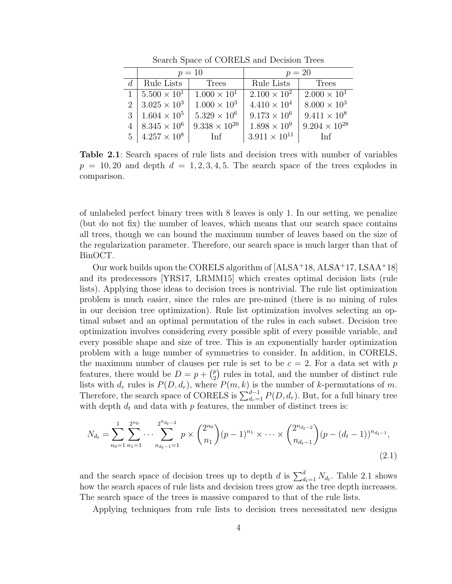| $p = 10$                     |                        | $p = 20$               |                        |  |
|------------------------------|------------------------|------------------------|------------------------|--|
| Rule Lists                   | Trees                  | Rule Lists             | Trees                  |  |
| $1 \mid 5.500 \times 10^{1}$ | $1.000 \times 10^{1}$  | $2.100 \times 10^{2}$  | $2.000 \times 10^{1}$  |  |
| $2 \mid 3.025 \times 10^3$   | $1.000 \times 10^3$    | $4.410 \times 10^{4}$  | $8.000 \times 10^3$    |  |
| $3 \mid 1.604 \times 10^5$   | $5.329 \times 10^{6}$  | $9.173 \times 10^6$    | $9.411 \times 10^8$    |  |
| $8.345 \times 10^6$          | $9.338 \times 10^{20}$ | $1.898 \times 10^{9}$  | $9.204 \times 10^{28}$ |  |
| $5 \mid 4.257 \times 10^8$   | Inf                    | $3.911 \times 10^{11}$ | Inf                    |  |

Search Space of CORELS and Decision Trees

Table 2.1: Search spaces of rule lists and decision trees with number of variables  $p = 10, 20$  and depth  $d = 1, 2, 3, 4, 5$ . The search space of the trees explodes in comparison.

of unlabeled perfect binary trees with 8 leaves is only 1. In our setting, we penalize (but do not fix) the number of leaves, which means that our search space contains all trees, though we can bound the maximum number of leaves based on the size of the regularization parameter. Therefore, our search space is much larger than that of BinOCT.

Our work builds upon the CORELS algorithm of [ALSA<sup>+</sup>18, ALSA<sup>+</sup>17, LSAA<sup>+</sup>18] and its predecessors [YRS17, LRMM15] which creates optimal decision lists (rule lists). Applying those ideas to decision trees is nontrivial. The rule list optimization problem is much easier, since the rules are pre-mined (there is no mining of rules in our decision tree optimization). Rule list optimization involves selecting an optimal subset and an optimal permutation of the rules in each subset. Decision tree optimization involves considering every possible split of every possible variable, and every possible shape and size of tree. This is an exponentially harder optimization problem with a huge number of symmetries to consider. In addition, in CORELS, the maximum number of clauses per rule is set to be  $c = 2$ . For a data set with p features, there would be  $D = p + \binom{p}{2}$  $_{2}^{p}$ ) rules in total, and the number of distinct rule lists with  $d_r$  rules is  $P(D, d_r)$ , where  $P(m, k)$  is the number of k-permutations of m. Therefore, the search space of CORELS is  $\sum_{d_r=1}^{d-1} P(D, d_r)$ . But, for a full binary tree with depth  $d_t$  and data with p features, the number of distinct trees is:

$$
N_{d_t} = \sum_{n_0=1}^1 \sum_{n_1=1}^{2^{n_0}} \cdots \sum_{n_{d_t-1}=1}^{2^{n_{d_t-2}}} p \times {2^{n_0} \choose n_1} (p-1)^{n_1} \times \cdots \times {2^{n_{d_t-2}} \choose n_{d_t-1}} (p-(d_t-1))^{n_{d_t-1}},
$$
\n(2.1)

and the search space of decision trees up to depth d is  $\sum_{d_t=1}^d N_{d_t}$ . Table 2.1 shows how the search spaces of rule lists and decision trees grow as the tree depth increases. The search space of the trees is massive compared to that of the rule lists.

Applying techniques from rule lists to decision trees necessitated new designs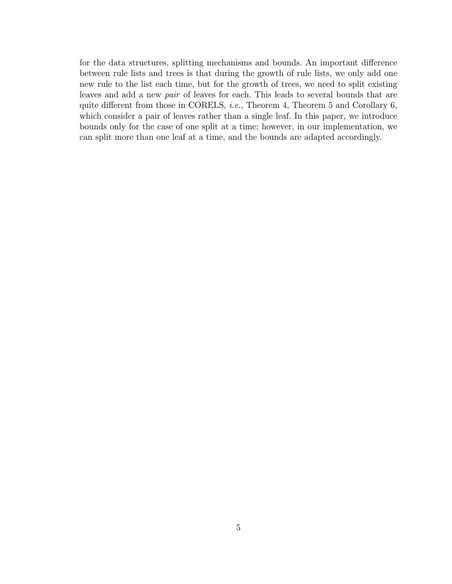for the data structures, splitting mechanisms and bounds. An important difference between rule lists and trees is that during the growth of rule lists, we only add one new rule to the list each time, but for the growth of trees, we need to split existing leaves and add a new pair of leaves for each. This leads to several bounds that are quite different from those in CORELS, *i.e.*, Theorem 4, Theorem 5 and Corollary 6, which consider a pair of leaves rather than a single leaf. In this paper, we introduce bounds only for the case of one split at a time; however, in our implementation, we can split more than one leaf at a time, and the bounds are adapted accordingly.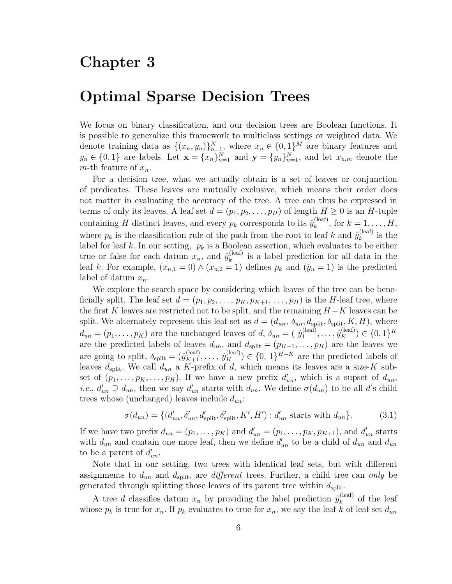### Chapter 3

### Optimal Sparse Decision Trees

We focus on binary classification, and our decision trees are Boolean functions. It is possible to generalize this framework to multiclass settings or weighted data. We denote training data as  $\{(x_n, y_n)\}_{n=1}^N$ , where  $x_n \in \{0, 1\}^M$  are binary features and  $y_n \in \{0,1\}$  are labels. Let  $\mathbf{x} = \{x_n\}_{n=1}^N$  and  $\mathbf{y} = \{y_n\}_{n=1}^N$ , and let  $x_{n,m}$  denote the m-th feature of  $x_n$ .

For a decision tree, what we actually obtain is a set of leaves or conjunction of predicates. These leaves are mutually exclusive, which means their order does not matter in evaluating the accuracy of the tree. A tree can thus be expressed in terms of only its leaves. A leaf set  $d = (p_1, p_2, \ldots, p_H)$  of length  $H \geq 0$  is an H-tuple containing H distinct leaves, and every  $p_k$  corresponds to its  $\hat{y}_k^{\text{(leaf)}}$  $\lambda_k^{\text{(leaf)}}, \text{ for } k = 1, \ldots, H,$ where  $p_k$  is the classification rule of the path from the root to leaf k and  $\hat{y}_k^{\text{(leaf)}}$  $\chi_k^{\text{(leaf)}}$  is the label for leaf k. In our setting,  $p_k$  is a Boolean assertion, which evaluates to be either true or false for each datum  $x_n$ , and  $\hat{y}_k^{(\text{leaf})}$  $\binom{[leaf]}{k}$  is a label prediction for all data in the leaf k. For example,  $(x_{n,1} = 0) \wedge (x_{n,2} = 1)$  defines  $p_k$  and  $(\hat{y}_n = 1)$  is the predicted label of datum  $x_n$ .

We explore the search space by considering which leaves of the tree can be beneficially split. The leaf set  $d = (p_1, p_2, \ldots, p_K, p_{K+1}, \ldots, p_H)$  is the H-leaf tree, where the first K leaves are restricted not to be split, and the remaining  $H - K$  leaves can be split. We alternately represent this leaf set as  $d = (d_{un}, \delta_{un}, d_{split}, \delta_{split}, K, H)$ , where  $d_{un} = (p_1, \ldots, p_K)$  are the unchanged leaves of d,  $\delta_{un} = (p_1^{\text{(leaf)}})$  $\hat{y}_1^{(\text{leaf})}, \dots, \hat{y}_K^{(\text{leaf})}) \in \{0, 1\}^K$ are the predicted labels of leaves  $d_{un}$ , and  $d_{split} = (p_{K+1}, \ldots, p_H)$  are the leaves we are going to split,  $\delta_{split} = (\hat{y}_{K+1}^{(leaf)}, \ldots, \hat{y}_H^{(leaf)}) \in \{0, 1\}^{H-K}$  are the predicted labels of leaves  $d_{split}$ . We call  $d_{un}$  a K-prefix of d, which means its leaves are a size-K subset of  $(p_1, \ldots, p_K, \ldots, p_H)$ . If we have a new prefix  $d'_{un}$ , which is a supset of  $d_{un}$ , *i.e.*,  $d'_{un} \supseteq d_{un}$ , then we say  $d'_{un}$  starts with  $d_{un}$ . We define  $\sigma(d_{un})$  to be all d's child trees whose (unchanged) leaves include  $d_{un}$ :

$$
\sigma(d_{un}) = \{ (d'_{un}, \delta'_{un}, d'_{split}, \delta'_{split}, K', H') : d'_{un} \text{ starts with } d_{un} \}. \tag{3.1}
$$

If we have two prefix  $d_{un} = (p_1, \ldots, p_K)$  and  $d'_{un} = (p_1, \ldots, p_K, p_{K+1})$ , and  $d'_{un}$  starts with  $d_{un}$  and contain one more leaf, then we define  $d'_{un}$  to be a child of  $d_{un}$  and  $d_{un}$ to be a parent of  $d'_{un}$ .

Note that in our setting, two trees with identical leaf sets, but with different assignments to  $d_{un}$  and  $d_{split}$ , are *different* trees. Further, a child tree can only be generated through splitting those leaves of its parent tree within  $d_{split}$ .

A tree d classifies datum  $x_n$  by providing the label prediction  $\hat{y}_k^{\text{(leaf)}}$  $k^{\text{(leaf)}}$  of the leaf whose  $p_k$  is true for  $x_n$ . If  $p_k$  evaluates to true for  $x_n$ , we say the leaf k of leaf set  $d_{un}$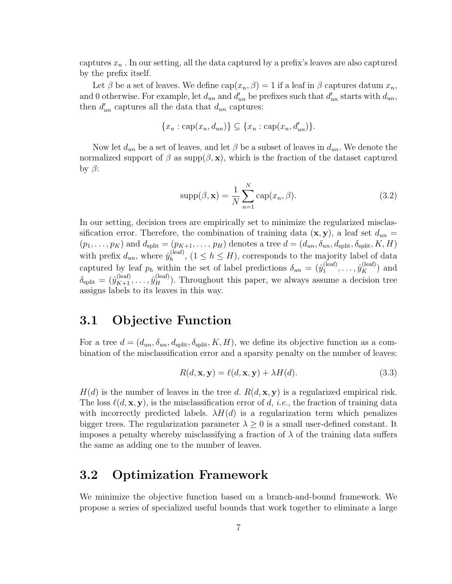captures  $x_n$ . In our setting, all the data captured by a prefix's leaves are also captured by the prefix itself.

Let  $\beta$  be a set of leaves. We define  $cap(x_n, \beta) = 1$  if a leaf in  $\beta$  captures datum  $x_n$ , and 0 otherwise. For example, let  $d_{un}$  and  $d'_{un}$  be prefixes such that  $d'_{un}$  starts with  $d_{un}$ , then  $d'_{un}$  captures all the data that  $d_{un}$  captures:

$$
\{x_n : \text{cap}(x_n, d_{un})\} \subseteq \{x_n : \text{cap}(x_n, d'_{un})\}.
$$

Now let  $d_{un}$  be a set of leaves, and let  $\beta$  be a subset of leaves in  $d_{un}$ . We denote the normalized support of  $\beta$  as supp $(\beta, x)$ , which is the fraction of the dataset captured by  $\beta$ :

$$
supp(\beta, \mathbf{x}) = \frac{1}{N} \sum_{n=1}^{N} cap(x_n, \beta).
$$
 (3.2)

In our setting, decision trees are empirically set to minimize the regularized misclassification error. Therefore, the combination of training data  $(\mathbf{x}, \mathbf{y})$ , a leaf set  $d_{un} =$  $(p_1, \ldots, p_K)$  and  $d_{split} = (p_{K+1}, \ldots, p_H)$  denotes a tree  $d = (d_{un}, \delta_{un}, d_{split}, \delta_{split}, K, H)$ with prefix  $d_{un}$ , where  $\hat{y}_h^{(\text{leaf})}$  $_{h}^{(leaf)}$ ,  $(1 \leq h \leq H)$ , corresponds to the majority label of data captured by leaf  $p_h$  within the set of label predictions  $\delta_{un} = (\hat{y}_1^{\text{(leaf)}})$  $\hat{y}_K^{(\text{leaf})}, \ldots, \hat{y}_K^{(\text{leaf})})$  and  $\delta_{\text{split}} = (\hat{y}_{K+1}^{(\text{leaf})}, \dots, \hat{y}_H^{(\text{leaf})})$ . Throughout this paper, we always assume a decision tree assigns labels to its leaves in this way.

#### 3.1 Objective Function

For a tree  $d = (d_{un}, \delta_{un}, d_{split}, \delta_{split}, K, H)$ , we define its objective function as a combination of the misclassification error and a sparsity penalty on the number of leaves:

$$
R(d, \mathbf{x}, \mathbf{y}) = \ell(d, \mathbf{x}, \mathbf{y}) + \lambda H(d). \tag{3.3}
$$

 $H(d)$  is the number of leaves in the tree d.  $R(d, \mathbf{x}, \mathbf{y})$  is a regularized empirical risk. The loss  $\ell(d, x, y)$ , is the misclassification error of d, i.e., the fraction of training data with incorrectly predicted labels.  $\lambda H(d)$  is a regularization term which penalizes bigger trees. The regularization parameter  $\lambda \geq 0$  is a small user-defined constant. It imposes a penalty whereby misclassifying a fraction of  $\lambda$  of the training data suffers the same as adding one to the number of leaves.

#### 3.2 Optimization Framework

We minimize the objective function based on a branch-and-bound framework. We propose a series of specialized useful bounds that work together to eliminate a large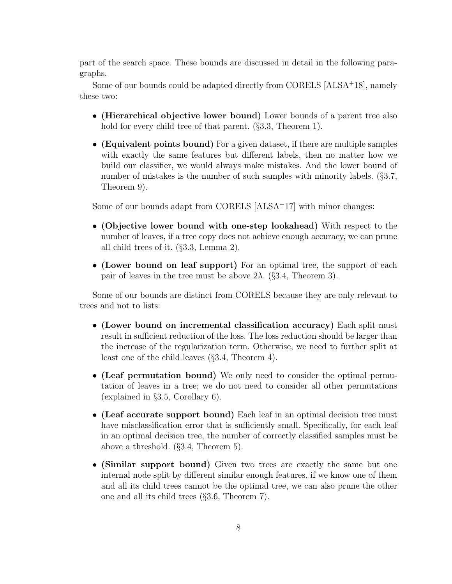part of the search space. These bounds are discussed in detail in the following paragraphs.

Some of our bounds could be adapted directly from CORELS [ALSA<sup>+</sup>18], namely these two:

- (Hierarchical objective lower bound) Lower bounds of a parent tree also hold for every child tree of that parent. (§3.3, Theorem 1).
- (Equivalent points bound) For a given dataset, if there are multiple samples with exactly the same features but different labels, then no matter how we build our classifier, we would always make mistakes. And the lower bound of number of mistakes is the number of such samples with minority labels. (§3.7, Theorem 9).

Some of our bounds adapt from CORELS [ALSA<sup>+</sup>17] with minor changes:

- (Objective lower bound with one-step lookahead) With respect to the number of leaves, if a tree copy does not achieve enough accuracy, we can prune all child trees of it. (§3.3, Lemma 2).
- (Lower bound on leaf support) For an optimal tree, the support of each pair of leaves in the tree must be above  $2\lambda$ . (§3.4, Theorem 3).

Some of our bounds are distinct from CORELS because they are only relevant to trees and not to lists:

- (Lower bound on incremental classification accuracy) Each split must result in sufficient reduction of the loss. The loss reduction should be larger than the increase of the regularization term. Otherwise, we need to further split at least one of the child leaves (§3.4, Theorem 4).
- (Leaf permutation bound) We only need to consider the optimal permutation of leaves in a tree; we do not need to consider all other permutations (explained in §3.5, Corollary 6).
- (Leaf accurate support bound) Each leaf in an optimal decision tree must have misclassification error that is sufficiently small. Specifically, for each leaf in an optimal decision tree, the number of correctly classified samples must be above a threshold. (§3.4, Theorem 5).
- (Similar support bound) Given two trees are exactly the same but one internal node split by different similar enough features, if we know one of them and all its child trees cannot be the optimal tree, we can also prune the other one and all its child trees (§3.6, Theorem 7).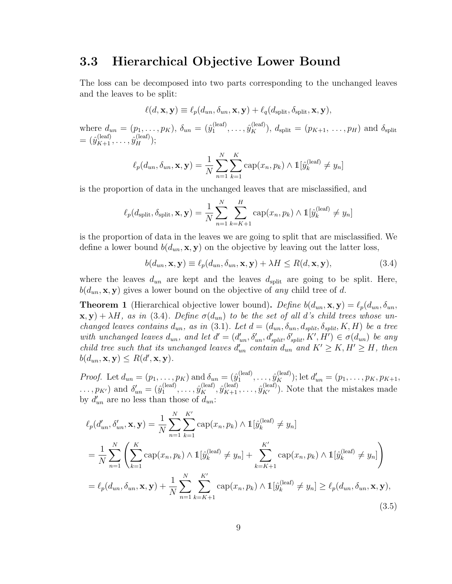#### 3.3 Hierarchical Objective Lower Bound

The loss can be decomposed into two parts corresponding to the unchanged leaves and the leaves to be split:

$$
\ell(d, \mathbf{x}, \mathbf{y}) \equiv \ell_p(d_{un}, \delta_{un}, \mathbf{x}, \mathbf{y}) + \ell_q(d_{split}, \delta_{split}, \mathbf{x}, \mathbf{y}),
$$

where  $d_{un} = (p_1, \ldots, p_K)$ ,  $\delta_{un} = (\hat{y}_1^{(leaf)})$  $j_1^{(\text{leaf})}, \ldots, \hat{y}_K^{(\text{leaf})}$ ),  $d_{\text{split}} = (p_{K+1}, \ldots, p_H)$  and  $\delta_{\text{split}}$  $=(\hat{y}^{\text{(leaf)}}_{K+1},\ldots,\hat{y}^{\text{(leaf)}}_{H});$ 

$$
\ell_p(d_{un}, \delta_{un}, \mathbf{x}, \mathbf{y}) = \frac{1}{N} \sum_{n=1}^{N} \sum_{k=1}^{K} \text{cap}(x_n, p_k) \wedge \mathbb{1}[\hat{y}_k^{(\text{leaf})} \neq y_n]
$$

is the proportion of data in the unchanged leaves that are misclassified, and

$$
\ell_p(d_{\text{split}}, \delta_{\text{split}}, \mathbf{x}, \mathbf{y}) = \frac{1}{N} \sum_{n=1}^{N} \sum_{k=K+1}^{H} \text{cap}(x_n, p_k) \wedge \mathbb{1}[\hat{y}_k^{(\text{leaf})} \neq y_n]
$$

is the proportion of data in the leaves we are going to split that are misclassified. We define a lower bound  $b(d_{un}, \mathbf{x}, \mathbf{y})$  on the objective by leaving out the latter loss,

$$
b(d_{un}, \mathbf{x}, \mathbf{y}) \equiv \ell_p(d_{un}, \delta_{un}, \mathbf{x}, \mathbf{y}) + \lambda H \le R(d, \mathbf{x}, \mathbf{y}),
$$
\n(3.4)

where the leaves  $d_{un}$  are kept and the leaves  $d_{split}$  are going to be split. Here,  $b(d_{un}, \mathbf{x}, \mathbf{y})$  gives a lower bound on the objective of any child tree of d.

**Theorem 1** (Hierarchical objective lower bound). Define  $b(d_{un}, \mathbf{x}, \mathbf{y}) = \ell_p(d_{un}, \delta_{un},$  $\mathbf{x}, \mathbf{y}) + \lambda H$ , as in (3.4). Define  $\sigma(d_{un})$  to be the set of all d's child trees whose unchanged leaves contains  $d_{un}$ , as in (3.1). Let  $d = (d_{un}, \delta_{un}, d_{split}, \delta_{split}, K, H)$  be a tree with unchanged leaves  $d_{un}$ , and let  $d' = (d'_{un}, \delta'_{un}, d'_{split}, \delta'_{split}, K', H') \in \sigma(d_{un})$  be any child tree such that its unchanged leaves  $d'_{un}$  contain  $d_{un}$  and  $K' \geq K$ ,  $H' \geq H$ , then  $b(d_{un}, \mathbf{x}, \mathbf{y}) \leq R(d', \mathbf{x}, \mathbf{y}).$ 

*Proof.* Let  $d_{un} = (p_1, \ldots, p_K)$  and  $\delta_{un} = (\hat{y}_1^{(leaf)})$  $j_1^{(\text{leaf})}, \ldots, \hat{y}_K^{(\text{leaf})}$ ); let  $d'_{un} = (p_1, \ldots, p_K, p_{K+1},$  $\dots, p_{K'}$ ) and  $\delta'_{un} = (\hat{y}_1^{(\text{leaf})})$  $j_1^{(\text{leaf})}, \ldots, \hat{y}_K^{(\text{leaf})}, \hat{y}_{K+1}^{(\text{leaf})}, \ldots, \hat{y}_{K'}^{(\text{leaf})})$ . Note that the mistakes made by  $d'_{un}$  are no less than those of  $d_{un}$ :

$$
\ell_p(d'_{un}, \delta'_{un}, \mathbf{x}, \mathbf{y}) = \frac{1}{N} \sum_{n=1}^N \sum_{k=1}^{K'} \text{cap}(x_n, p_k) \wedge \mathbb{1}[\hat{y}_k^{(\text{leaf})} \neq y_n]
$$
  
\n
$$
= \frac{1}{N} \sum_{n=1}^N \left( \sum_{k=1}^K \text{cap}(x_n, p_k) \wedge \mathbb{1}[\hat{y}_k^{(\text{leaf})} \neq y_n] + \sum_{k=K+1}^{K'} \text{cap}(x_n, p_k) \wedge \mathbb{1}[\hat{y}_k^{(\text{leaf})} \neq y_n] \right)
$$
  
\n
$$
= \ell_p(d_{un}, \delta_{un}, \mathbf{x}, \mathbf{y}) + \frac{1}{N} \sum_{n=1}^N \sum_{k=K+1}^{K'} \text{cap}(x_n, p_k) \wedge \mathbb{1}[\hat{y}_k^{(\text{leaf})} \neq y_n] \ge \ell_p(d_{un}, \delta_{un}, \mathbf{x}, \mathbf{y}),
$$
\n(3.5)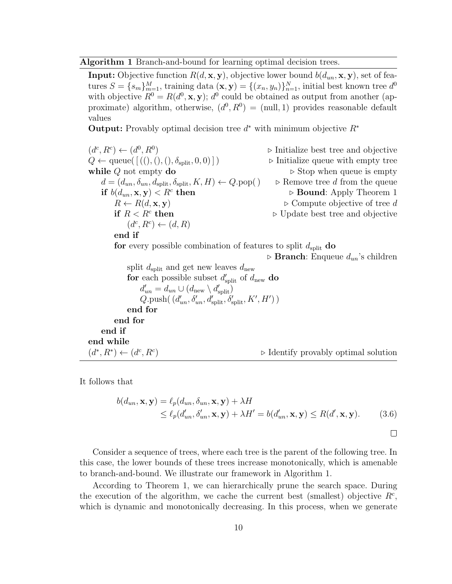#### Algorithm 1 Branch-and-bound for learning optimal decision trees.

**Input:** Objective function  $R(d, \mathbf{x}, \mathbf{y})$ , objective lower bound  $b(d_{un}, \mathbf{x}, \mathbf{y})$ , set of features  $S = \{s_m\}_{m=1}^M$ , training data  $(\mathbf{x}, \mathbf{y}) = \{(x_n, y_n)\}_{n=1}^N$ , initial best known tree  $d^0$ with objective  $R^0 = R(d^0, \mathbf{x}, \mathbf{y})$ ;  $d^0$  could be obtained as output from another (approximate) algorithm, otherwise,  $(d^0, R^0) = \text{(null, 1)}$  provides reasonable default values

**Output:** Provably optimal decision tree  $d^*$  with minimum objective  $R^*$ 

| $(d^c, R^c) \leftarrow (d^0, R^0)$                                              | ▶ Initialize best tree and objective   |
|---------------------------------------------------------------------------------|----------------------------------------|
| $Q \leftarrow$ queue([(((),(),(),\delta_{split}, 0, 0)])                        | ▶ Initialize queue with empty tree     |
| <b>while</b> $Q$ not empty <b>do</b>                                            | ▶ Stop when queue is empty             |
| $d = (d_{un}, \delta_{un}, d_{split}, \delta_{split}, K, H) \leftarrow Q.pop()$ | Remove tree $d$ from the queue         |
| <b>if</b> $b(d_{un}, \mathbf{x}, \mathbf{y}) < R^c$ <b>then</b>                 | ▶ Bound: Apply Theorem 1               |
| $R \leftarrow R(d, \mathbf{x}, \mathbf{y})$                                     | ▶ Compute objective of tree $d$        |
| <b>if</b> $R < R^c$ <b>then</b>                                                 | ▶ Update best tree and objective       |
| $(d^c, R^c) \leftarrow (d, R)$                                                  | ▶ Branch: Enqueue $d_{un}$ 's children |
| <b>if</b> $d_{split}$ and get new leaves $d_{new}$                              | ▶ Branch: Enqueue $d_{un}$ 's children |
| <b>split</b> $d_{split}$ and get new leaves $d_{new}$                           |                                        |
| <b>for</b> each possible subset $d'_{split}$ of $d_{new}$ <b>do</b>             |                                        |
| $d'_{un} = d_{un} \cup (d_{new} \setminus d'_{split}, \delta'_{split}, K', H')$ |                                        |
| <b>end for</b>                                                                  | <b>end for</b>                         |
| <b>end if</b>                                                                   | <b>end for</b>                         |
| $(d^*, R^*) \leftarrow (d^c, R^c)$                                              | ▶ Identify provably optimal solution   |

It follows that

$$
b(d_{un}, \mathbf{x}, \mathbf{y}) = \ell_p(d_{un}, \delta_{un}, \mathbf{x}, \mathbf{y}) + \lambda H
$$
  
\$\leq \ell\_p(d\_{un}', \delta\_{un}', \mathbf{x}, \mathbf{y}) + \lambda H' = b(d\_{un}', \mathbf{x}, \mathbf{y}) \leq R(d', \mathbf{x}, \mathbf{y}). \qquad (3.6)\$

 $\Box$ 

Consider a sequence of trees, where each tree is the parent of the following tree. In this case, the lower bounds of these trees increase monotonically, which is amenable to branch-and-bound. We illustrate our framework in Algorithm 1.

According to Theorem 1, we can hierarchically prune the search space. During the execution of the algorithm, we cache the current best (smallest) objective  $R<sup>c</sup>$ , which is dynamic and monotonically decreasing. In this process, when we generate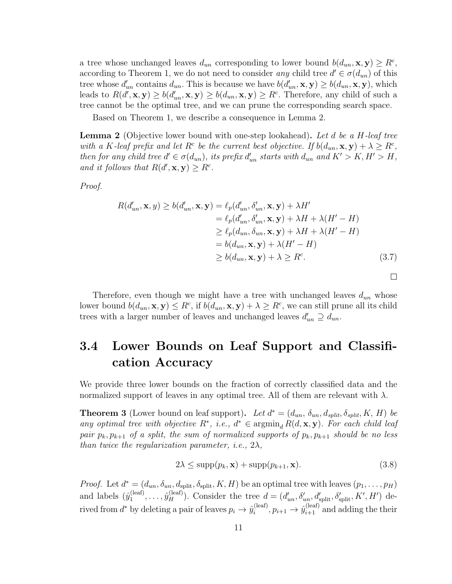a tree whose unchanged leaves  $d_{un}$  corresponding to lower bound  $b(d_{un}, \mathbf{x}, \mathbf{y}) \geq R^c$ , according to Theorem 1, we do not need to consider any child tree  $d' \in \sigma(d_{un})$  of this tree whose  $d'_{un}$  contains  $d_{un}$ . This is because we have  $b(d'_{un}, \mathbf{x}, \mathbf{y}) \geq b(d_{un}, \mathbf{x}, \mathbf{y})$ , which leads to  $R(d', \mathbf{x}, \mathbf{y}) \ge b(d'_{un}, \mathbf{x}, \mathbf{y}) \ge b(d_{un}, \mathbf{x}, \mathbf{y}) \ge R^c$ . Therefore, any child of such a tree cannot be the optimal tree, and we can prune the corresponding search space.

Based on Theorem 1, we describe a consequence in Lemma 2.

**Lemma 2** (Objective lower bound with one-step lookahead). Let d be a H-leaf tree with a K-leaf prefix and let  $R^c$  be the current best objective. If  $b(d_{un}, \mathbf{x}, \mathbf{y}) + \lambda \geq R^c$ , then for any child tree  $d' \in \sigma(d_{un})$ , its prefix  $d'_{un}$  starts with  $d_{un}$  and  $K' > K$ ,  $H' > H$ , and it follows that  $R(d',\mathbf{x},\mathbf{y}) \geq R^c$ .

Proof.

$$
R(d'_{un}, \mathbf{x}, y) \ge b(d'_{un}, \mathbf{x}, \mathbf{y}) = \ell_p(d'_{un}, \delta'_{un}, \mathbf{x}, \mathbf{y}) + \lambda H'
$$
  
\n
$$
= \ell_p(d'_{un}, \delta'_{un}, \mathbf{x}, \mathbf{y}) + \lambda H + \lambda (H' - H)
$$
  
\n
$$
\ge \ell_p(d_{un}, \delta_{un}, \mathbf{x}, \mathbf{y}) + \lambda H + \lambda (H' - H)
$$
  
\n
$$
= b(d_{un}, \mathbf{x}, \mathbf{y}) + \lambda (H' - H)
$$
  
\n
$$
\ge b(d_{un}, \mathbf{x}, \mathbf{y}) + \lambda \ge R^c.
$$
 (3.7)

Therefore, even though we might have a tree with unchanged leaves  $d_{un}$  whose lower bound  $b(d_{un}, \mathbf{x}, \mathbf{y}) \leq R^c$ , if  $b(d_{un}, \mathbf{x}, \mathbf{y}) + \lambda \geq R^c$ , we can still prune all its child trees with a larger number of leaves and unchanged leaves  $d'_{un} \supseteq d_{un}$ .

### 3.4 Lower Bounds on Leaf Support and Classification Accuracy

We provide three lower bounds on the fraction of correctly classified data and the normalized support of leaves in any optimal tree. All of them are relevant with  $\lambda$ .

**Theorem 3** (Lower bound on leaf support). Let  $d^* = (d_{un}, \delta_{un}, d_{split}, \delta_{split}, K, H)$  be any optimal tree with objective  $R^*$ , i.e.,  $d^* \in \operatorname{argmin}_d R(d, \mathbf{x}, \mathbf{y})$ . For each child leaf pair  $p_k, p_{k+1}$  of a split, the sum of normalized supports of  $p_k, p_{k+1}$  should be no less than twice the regularization parameter, i.e.,  $2\lambda$ ,

$$
2\lambda \le \sup p(p_k, \mathbf{x}) + \sup p(p_{k+1}, \mathbf{x}). \tag{3.8}
$$

*Proof.* Let  $d^* = (d_{un}, \delta_{un}, d_{split}, \delta_{split}, K, H)$  be an optimal tree with leaves  $(p_1, \ldots, p_H)$ and labels  $(\hat{y}_1^{(leaf)}$  $j_1^{(\text{leaf})}, \ldots, j_H^{(\text{leaf})})$ . Consider the tree  $d = (d'_{un}, \delta'_{un}, d'_{split}, \delta'_{split}, K', H')$  derived from  $d^*$  by deleting a pair of leaves  $p_i \to \hat{y}_i^{(\text{leaf})}$  $i_i^{\text{(leaf)}}, p_{i+1} \rightarrow \hat{y}_{i+1}^{\text{(leaf)}}$  and adding the their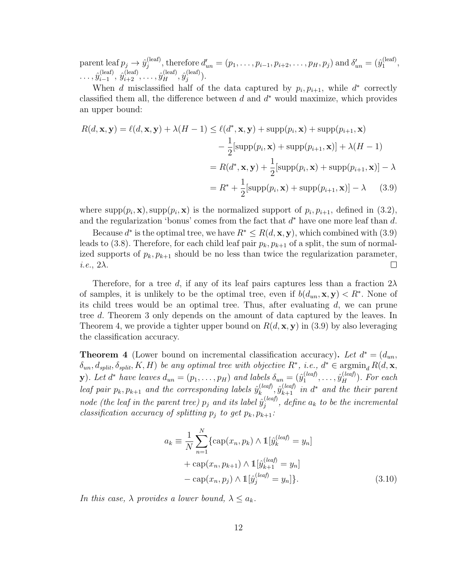parent leaf  $p_j \to \hat{y}_j^{\text{(leaf)}}$ <sup>(leaf)</sup>, therefore  $d'_{un} = (p_1, \ldots, p_{i-1}, p_{i+2}, \ldots, p_H, p_j)$  and  $\delta'_{un} = (\hat{y}_1^{(\text{leaf})})$  $\mathbf{1}^{(\text{tear})}$  $\ldots, \hat{y}_{i-1}^{(\mathrm{leaf})}$  $\hat{y}_{i-1}^{(\mathrm{leaf})}, \, \hat{y}_{i+2}^{(\mathrm{leaf})}, \ldots, \hat{y}_{H}^{(\mathrm{leaf})}, \hat{y}_{j}^{(\mathrm{leaf})}$  $j^{\text{(ear)}}$ ).

When d misclassified half of the data captured by  $p_i, p_{i+1}$ , while  $d^*$  correctly classified them all, the difference between  $d$  and  $d^*$  would maximize, which provides an upper bound:

$$
R(d, \mathbf{x}, \mathbf{y}) = \ell(d, \mathbf{x}, \mathbf{y}) + \lambda(H - 1) \le \ell(d^*, \mathbf{x}, \mathbf{y}) + \text{supp}(p_i, \mathbf{x}) + \text{supp}(p_{i+1}, \mathbf{x})
$$

$$
- \frac{1}{2}[\text{supp}(p_i, \mathbf{x}) + \text{supp}(p_{i+1}, \mathbf{x})] + \lambda(H - 1)
$$

$$
= R(d^*, \mathbf{x}, \mathbf{y}) + \frac{1}{2}[\text{supp}(p_i, \mathbf{x}) + \text{supp}(p_{i+1}, \mathbf{x})] - \lambda
$$

$$
= R^* + \frac{1}{2}[\text{supp}(p_i, \mathbf{x}) + \text{supp}(p_{i+1}, \mathbf{x})] - \lambda \qquad (3.9)
$$

where supp $(p_i, \mathbf{x})$ , supp $(p_i, \mathbf{x})$  is the normalized support of  $p_i, p_{i+1}$ , defined in  $(3.2)$ , and the regularization 'bonus' comes from the fact that  $d^*$  have one more leaf than  $d$ .

Because  $d^*$  is the optimal tree, we have  $R^* \leq R(d, \mathbf{x}, \mathbf{y})$ , which combined with (3.9) leads to (3.8). Therefore, for each child leaf pair  $p_k, p_{k+1}$  of a split, the sum of normalized supports of  $p_k, p_{k+1}$  should be no less than twice the regularization parameter,  $\Box$ i.e.,  $2\lambda$ .

Therefore, for a tree d, if any of its leaf pairs captures less than a fraction  $2\lambda$ of samples, it is unlikely to be the optimal tree, even if  $b(d_{un}, \mathbf{x}, \mathbf{y}) < R^*$ . None of its child trees would be an optimal tree. Thus, after evaluating  $d$ , we can prune tree d. Theorem 3 only depends on the amount of data captured by the leaves. In Theorem 4, we provide a tighter upper bound on  $R(d, \mathbf{x}, \mathbf{y})$  in (3.9) by also leveraging the classification accuracy.

**Theorem 4** (Lower bound on incremental classification accuracy). Let  $d^* = (d_{un},$  $\delta_{un}, d_{split}, \delta_{split}, K, H)$  be any optimal tree with objective  $R^*$ , i.e.,  $d^* \in \operatorname{argmin}_d R(d, \mathbf{x}, h)$ **y**). Let  $d^*$  have leaves  $d_{un} = (p_1, \ldots, p_H)$  and labels  $\delta_{un} = (\hat{y}_1^{(leaf)}))$  $j_1^{(leaf)}, \ldots, \hat{y}_H^{(leaf)}$ ). For each leaf pair  $p_k, p_{k+1}$  and the corresponding labels  $\hat{y}_k^{(leaf)}$  $\hat{y}_{k}^{(leaf)}, \hat{y}_{k+1}^{(leaf)}$  in  $d^*$  and the their parent node (the leaf in the parent tree)  $p_j$  and its label  $\hat{y}_j^{(leaf)}$  $j_j^{(leaj)}$ , define  $a_k$  to be the incremental classification accuracy of splitting  $p_i$  to get  $p_k, p_{k+1}$ :

$$
a_k = \frac{1}{N} \sum_{n=1}^{N} \{ \text{cap}(x_n, p_k) \land \mathbb{1}[\hat{y}_k^{(leaf)} = y_n] + \text{cap}(x_n, p_{k+1}) \land \mathbb{1}[\hat{y}_{k+1}^{(leaf)} = y_n] - \text{cap}(x_n, p_j) \land \mathbb{1}[\hat{y}_j^{(leaf)} = y_n] \}.
$$
\n(3.10)

In this case,  $\lambda$  provides a lower bound,  $\lambda \leq a_k$ .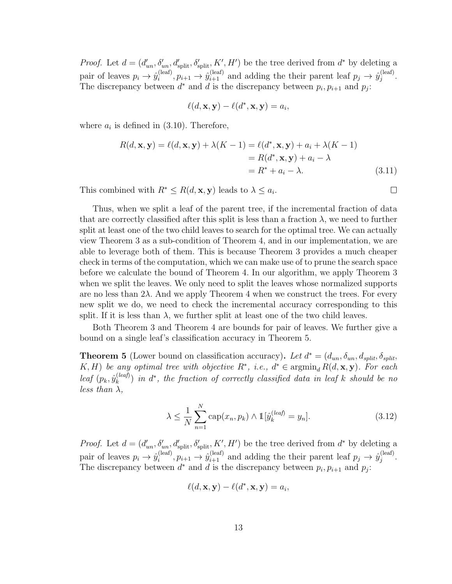*Proof.* Let  $d = (d'_{un}, \delta'_{un}, d'_{split}, \delta'_{split}, K', H')$  be the tree derived from  $d^*$  by deleting a pair of leaves  $p_i \rightarrow \hat{y}_i^{(\text{leaf})}$  $\hat{y}_i^{(leaf)}, p_{i+1} \to \hat{y}_{i+1}^{(leaf)}$  and adding the their parent leaf  $p_j \to \hat{y}_j^{(leaf)}$  $j^{\text{(ear)}}$ . The discrepancy between  $d^*$  and  $d$  is the discrepancy between  $p_i, p_{i+1}$  and  $p_j$ :

$$
\ell(d, \mathbf{x}, \mathbf{y}) - \ell(d^*, \mathbf{x}, \mathbf{y}) = a_i,
$$

where  $a_i$  is defined in (3.10). Therefore,

$$
R(d, \mathbf{x}, \mathbf{y}) = \ell(d, \mathbf{x}, \mathbf{y}) + \lambda(K - 1) = \ell(d^*, \mathbf{x}, \mathbf{y}) + a_i + \lambda(K - 1)
$$
  
=  $R(d^*, \mathbf{x}, \mathbf{y}) + a_i - \lambda$   
=  $R^* + a_i - \lambda$ . (3.11)

This combined with  $R^* \leq R(d, \mathbf{x}, \mathbf{y})$  leads to  $\lambda \leq a_i$ .

Thus, when we split a leaf of the parent tree, if the incremental fraction of data that are correctly classified after this split is less than a fraction  $\lambda$ , we need to further split at least one of the two child leaves to search for the optimal tree. We can actually view Theorem 3 as a sub-condition of Theorem 4, and in our implementation, we are able to leverage both of them. This is because Theorem 3 provides a much cheaper check in terms of the computation, which we can make use of to prune the search space before we calculate the bound of Theorem 4. In our algorithm, we apply Theorem 3 when we split the leaves. We only need to split the leaves whose normalized supports are no less than 2λ. And we apply Theorem 4 when we construct the trees. For every new split we do, we need to check the incremental accuracy corresponding to this split. If it is less than  $\lambda$ , we further split at least one of the two child leaves.

Both Theorem 3 and Theorem 4 are bounds for pair of leaves. We further give a bound on a single leaf's classification accuracy in Theorem 5.

**Theorem 5** (Lower bound on classification accuracy). Let  $d^* = (d_{un}, \delta_{un}, d_{split}, \delta_{split})$ K, H) be any optimal tree with objective  $R^*$ , i.e.,  $d^* \in \operatorname{argmin}_d R(d, \mathbf{x}, \mathbf{y})$ . For each leaf  $(p_k, \hat{y}_k^{(leaf)}$  $\binom{(leaf)}{k}$  in  $d^*$ , the fraction of correctly classified data in leaf k should be no less than  $\lambda$ ,

$$
\lambda \le \frac{1}{N} \sum_{n=1}^{N} \text{cap}(x_n, p_k) \wedge \mathbb{1}[\hat{y}_k^{(leaf)} = y_n]. \tag{3.12}
$$

*Proof.* Let  $d = (d'_{un}, \delta'_{un}, d'_{split}, \delta'_{split}, K', H')$  be the tree derived from  $d^*$  by deleting a pair of leaves  $p_i \rightarrow \hat{y}_i^{(\text{leaf})}$  $\hat{y}_i^{(leaf)}, p_{i+1} \to \hat{y}_{i+1}^{(leaf)}$  and adding the their parent leaf  $p_j \to \hat{y}_j^{(leaf)}$  $j^{\text{(leaf)}}$ . The discrepancy between  $d^*$  and  $d$  is the discrepancy between  $p_i, p_{i+1}$  and  $p_j$ :

$$
\ell(d, \mathbf{x}, \mathbf{y}) - \ell(d^*, \mathbf{x}, \mathbf{y}) = a_i,
$$

 $\Box$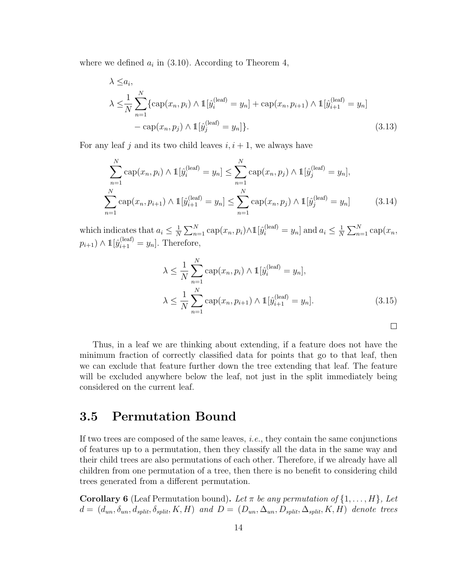where we defined  $a_i$  in (3.10). According to Theorem 4,

$$
\lambda \le a_i,
$$
\n
$$
\lambda \le \frac{1}{N} \sum_{n=1}^N \{ \text{cap}(x_n, p_i) \land \mathbb{1}[\hat{y}_i^{(\text{leaf})} = y_n] + \text{cap}(x_n, p_{i+1}) \land \mathbb{1}[\hat{y}_{i+1}^{(\text{leaf})} = y_n] - \text{cap}(x_n, p_j) \land \mathbb{1}[\hat{y}_j^{(\text{leaf})} = y_n] \}.
$$
\n(3.13)

For any leaf j and its two child leaves  $i, i + 1$ , we always have

$$
\sum_{n=1}^{N} \text{cap}(x_n, p_i) \wedge \mathbb{1}[\hat{y}_i^{(\text{leaf})} = y_n] \le \sum_{n=1}^{N} \text{cap}(x_n, p_j) \wedge \mathbb{1}[\hat{y}_j^{(\text{leaf})} = y_n],
$$
\n
$$
\sum_{n=1}^{N} \text{cap}(x_n, p_{i+1}) \wedge \mathbb{1}[\hat{y}_{i+1}^{(\text{leaf})} = y_n] \le \sum_{n=1}^{N} \text{cap}(x_n, p_j) \wedge \mathbb{1}[\hat{y}_j^{(\text{leaf})} = y_n]
$$
\n(3.14)

which indicates that  $a_i \leq \frac{1}{N}$  $\frac{1}{N} \sum_{n=1}^{N} \text{cap}(x_n, p_i) \wedge \mathbb{1}[\hat{y}_i^{(\text{leaf})} = y_n]$  and  $a_i \leq \frac{1}{N}$  $\frac{1}{N} \sum_{n=1}^{N} \text{cap}(x_n,$  $p_{i+1}$ )  $\wedge$  1[ $\hat{y}_{i+1}^{\text{(leaf)}} = y_n$ ]. Therefore,

$$
\lambda \le \frac{1}{N} \sum_{n=1}^{N} \text{cap}(x_n, p_i) \wedge \mathbb{1}[\hat{y}_i^{(\text{leaf})} = y_n],
$$
  

$$
\lambda \le \frac{1}{N} \sum_{n=1}^{N} \text{cap}(x_n, p_{i+1}) \wedge \mathbb{1}[\hat{y}_{i+1}^{(\text{leaf})} = y_n].
$$
 (3.15)

 $\Box$ 

Thus, in a leaf we are thinking about extending, if a feature does not have the minimum fraction of correctly classified data for points that go to that leaf, then we can exclude that feature further down the tree extending that leaf. The feature will be excluded anywhere below the leaf, not just in the split immediately being considered on the current leaf.

#### 3.5 Permutation Bound

If two trees are composed of the same leaves, i.e., they contain the same conjunctions of features up to a permutation, then they classify all the data in the same way and their child trees are also permutations of each other. Therefore, if we already have all children from one permutation of a tree, then there is no benefit to considering child trees generated from a different permutation.

**Corollary 6** (Leaf Permutation bound). Let  $\pi$  be any permutation of  $\{1, \ldots, H\}$ , Let  $d = (d_{un}, \delta_{un}, d_{split}, \delta_{split}, K, H)$  and  $D = (D_{un}, \Delta_{un}, D_{split}, \Delta_{split}, K, H)$  denote trees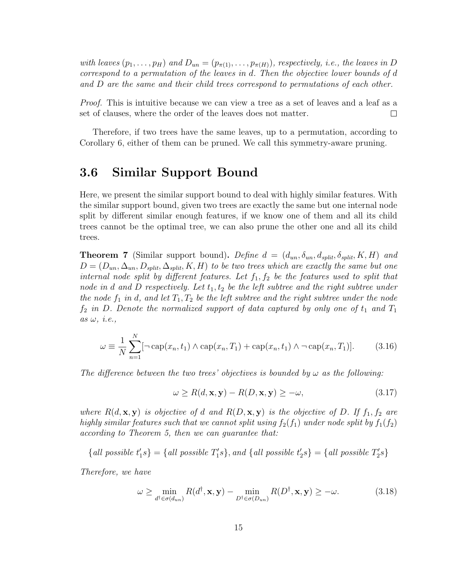with leaves  $(p_1, \ldots, p_H)$  and  $D_{un} = (p_{\pi(1)}, \ldots, p_{\pi(H)})$ , respectively, i.e., the leaves in D correspond to a permutation of the leaves in d. Then the objective lower bounds of d and D are the same and their child trees correspond to permutations of each other.

*Proof.* This is intuitive because we can view a tree as a set of leaves and a leaf as a set of clauses, where the order of the leaves does not matter.  $\Box$ 

Therefore, if two trees have the same leaves, up to a permutation, according to Corollary 6, either of them can be pruned. We call this symmetry-aware pruning.

#### 3.6 Similar Support Bound

Here, we present the similar support bound to deal with highly similar features. With the similar support bound, given two trees are exactly the same but one internal node split by different similar enough features, if we know one of them and all its child trees cannot be the optimal tree, we can also prune the other one and all its child trees.

**Theorem 7** (Similar support bound). Define  $d = (d_{un}, \delta_{un}, d_{split}, \delta_{split}, K, H)$  and  $D = (D_{un}, \Delta_{un}, D_{split}, \Delta_{split}, K, H)$  to be two trees which are exactly the same but one internal node split by different features. Let  $f_1, f_2$  be the features used to split that node in d and D respectively. Let  $t_1, t_2$  be the left subtree and the right subtree under the node  $f_1$  in d, and let  $T_1, T_2$  be the left subtree and the right subtree under the node  $f_2$  in D. Denote the normalized support of data captured by only one of  $t_1$  and  $T_1$ as  $\omega$ , *i.e.*,

$$
\omega = \frac{1}{N} \sum_{n=1}^{N} [\neg \exp(x_n, t_1) \land \exp(x_n, T_1) + \exp(x_n, t_1) \land \neg \exp(x_n, T_1)].
$$
 (3.16)

The difference between the two trees' objectives is bounded by  $\omega$  as the following:

$$
\omega \ge R(d, \mathbf{x}, \mathbf{y}) - R(D, \mathbf{x}, \mathbf{y}) \ge -\omega,\tag{3.17}
$$

where  $R(d, \mathbf{x}, \mathbf{y})$  is objective of d and  $R(D, \mathbf{x}, \mathbf{y})$  is the objective of D. If  $f_1, f_2$  are highly similar features such that we cannot split using  $f_2(f_1)$  under node split by  $f_1(f_2)$ according to Theorem 5, then we can guarantee that:

 ${all possible t'_{1}s} = {all possible T'_{1}s}, and {all possible t'_{2}s} = {all possible T'_{2}s}$ 

Therefore, we have

$$
\omega \ge \min_{d^{\dagger} \in \sigma(d_{un})} R(d^{\dagger}, \mathbf{x}, \mathbf{y}) - \min_{D^{\dagger} \in \sigma(D_{un})} R(D^{\dagger}, \mathbf{x}, \mathbf{y}) \ge -\omega.
$$
 (3.18)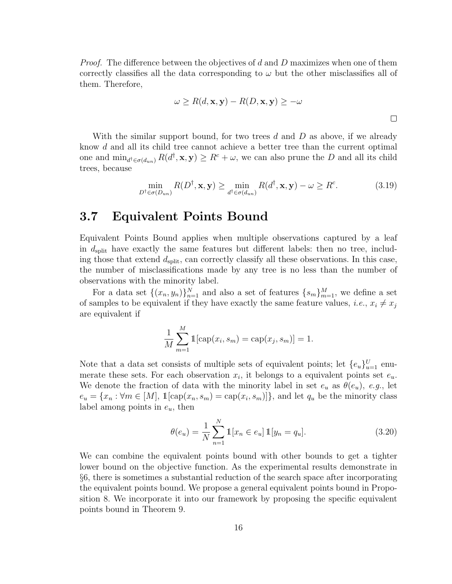*Proof.* The difference between the objectives of d and D maximizes when one of them correctly classifies all the data corresponding to  $\omega$  but the other misclassifies all of them. Therefore,

$$
\omega \ge R(d, \mathbf{x}, \mathbf{y}) - R(D, \mathbf{x}, \mathbf{y}) \ge -\omega
$$

With the similar support bound, for two trees d and  $D$  as above, if we already know d and all its child tree cannot achieve a better tree than the current optimal one and  $\min_{d^{\dagger} \in \sigma(d_{un})} R(d^{\dagger}, \mathbf{x}, \mathbf{y}) \geq R^c + \omega$ , we can also prune the D and all its child trees, because

$$
\min_{D^{\dagger} \in \sigma(D_{un})} R(D^{\dagger}, \mathbf{x}, \mathbf{y}) \ge \min_{d^{\dagger} \in \sigma(d_{un})} R(d^{\dagger}, \mathbf{x}, \mathbf{y}) - \omega \ge R^c.
$$
 (3.19)

#### 3.7 Equivalent Points Bound

Equivalent Points Bound applies when multiple observations captured by a leaf in  $d_{split}$  have exactly the same features but different labels: then no tree, including those that extend  $d_{split}$ , can correctly classify all these observations. In this case, the number of misclassifications made by any tree is no less than the number of observations with the minority label.

For a data set  $\{(x_n, y_n)\}_{n=1}^N$  and also a set of features  $\{s_m\}_{m=1}^M$ , we define a set of samples to be equivalent if they have exactly the same feature values, *i.e.*,  $x_i \neq x_j$ are equivalent if

$$
\frac{1}{M} \sum_{m=1}^{M} \mathbb{1}[\text{cap}(x_i, s_m) = \text{cap}(x_j, s_m)] = 1.
$$

Note that a data set consists of multiple sets of equivalent points; let  $\{e_u\}_{u=1}^U$  enumerate these sets. For each observation  $x_i$ , it belongs to a equivalent points set  $e_u$ . We denote the fraction of data with the minority label in set  $e_u$  as  $\theta(e_u)$ , e.g., let  $e_u = \{x_n : \forall m \in [M], \mathbb{1}[\text{cap}(x_n, s_m) = \text{cap}(x_i, s_m)]\}$ , and let  $q_u$  be the minority class label among points in  $e_u$ , then

$$
\theta(e_u) = \frac{1}{N} \sum_{n=1}^{N} \mathbb{1}[x_n \in e_u] \mathbb{1}[y_n = q_u].
$$
\n(3.20)

We can combine the equivalent points bound with other bounds to get a tighter lower bound on the objective function. As the experimental results demonstrate in §6, there is sometimes a substantial reduction of the search space after incorporating the equivalent points bound. We propose a general equivalent points bound in Proposition 8. We incorporate it into our framework by proposing the specific equivalent points bound in Theorem 9.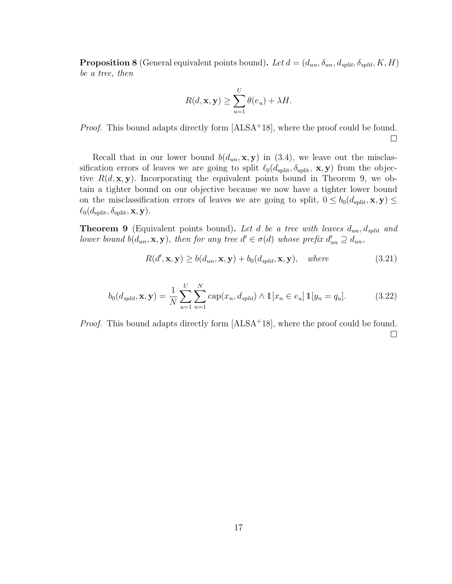**Proposition 8** (General equivalent points bound). Let  $d = (d_{un}, \delta_{un}, d_{split}, \delta_{split}, K, H)$ be a tree, then

$$
R(d, \mathbf{x}, \mathbf{y}) \ge \sum_{u=1}^{U} \theta(e_u) + \lambda H.
$$

*Proof.* This bound adapts directly form  $[ALSA<sup>+</sup>18]$ , where the proof could be found.  $\Box$ 

Recall that in our lower bound  $b(d_{un}, \mathbf{x}, \mathbf{y})$  in (3.4), we leave out the misclassification errors of leaves we are going to split  $\ell_0(d_{split}, \delta_{split}, \mathbf{x}, \mathbf{y})$  from the objective  $R(d, \mathbf{x}, \mathbf{y})$ . Incorporating the equivalent points bound in Theorem 9, we obtain a tighter bound on our objective because we now have a tighter lower bound on the misclassification errors of leaves we are going to split,  $0 \leq b_0(d_{split}, \mathbf{x}, \mathbf{y}) \leq$  $\ell_0(d_{\textrm{\rm split}}, \delta_{\textrm{\rm split}}, \mathbf{x}, \mathbf{y}).$ 

**Theorem 9** (Equivalent points bound). Let d be a tree with leaves  $d_{un}$ ,  $d_{split}$  and lower bound  $b(d_{un}, \mathbf{x}, \mathbf{y})$ , then for any tree  $d' \in \sigma(d)$  whose prefix  $d'_{un} \supseteq d_{un}$ ,

$$
R(d', \mathbf{x}, \mathbf{y}) \ge b(d_{un}, \mathbf{x}, \mathbf{y}) + b_0(d_{split}, \mathbf{x}, \mathbf{y}), \quad where \tag{3.21}
$$

$$
b_0(d_{split}, \mathbf{x}, \mathbf{y}) = \frac{1}{N} \sum_{u=1}^{U} \sum_{n=1}^{N} \text{cap}(x_n, d_{split}) \wedge \mathbb{1}[x_n \in e_u] \, \mathbb{1}[y_n = q_u]. \tag{3.22}
$$

*Proof.* This bound adapts directly form [ALSA<sup>+</sup>18], where the proof could be found.  $\Box$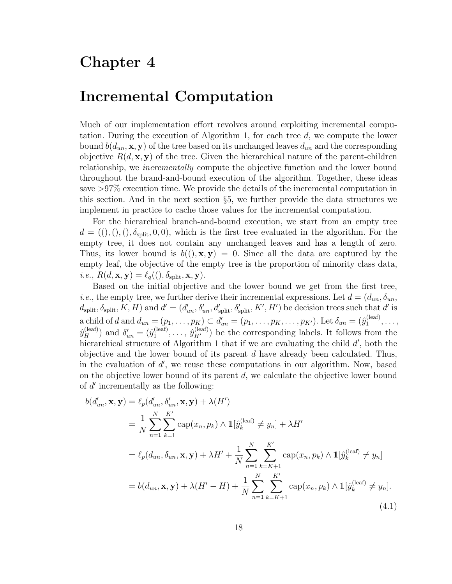### Chapter 4

### Incremental Computation

Much of our implementation effort revolves around exploiting incremental computation. During the execution of Algorithm 1, for each tree d, we compute the lower bound  $b(d_{un}, \mathbf{x}, \mathbf{y})$  of the tree based on its unchanged leaves  $d_{un}$  and the corresponding objective  $R(d, \mathbf{x}, \mathbf{y})$  of the tree. Given the hierarchical nature of the parent-children relationship, we incrementally compute the objective function and the lower bound throughout the brand-and-bound execution of the algorithm. Together, these ideas save >97% execution time. We provide the details of the incremental computation in this section. And in the next section §5, we further provide the data structures we implement in practice to cache those values for the incremental computation.

For the hierarchical branch-and-bound execution, we start from an empty tree  $d = ((),(),(),\delta_{split},0,0),$  which is the first tree evaluated in the algorithm. For the empty tree, it does not contain any unchanged leaves and has a length of zero. Thus, its lower bound is  $b((), \mathbf{x}, \mathbf{y}) = 0$ . Since all the data are captured by the empty leaf, the objective of the empty tree is the proportion of minority class data, *i.e.*,  $R(d, \mathbf{x}, \mathbf{y}) = \ell_q((), \delta_{split}, \mathbf{x}, \mathbf{y}).$ 

Based on the initial objective and the lower bound we get from the first tree, *i.e.*, the empty tree, we further derive their incremental expressions. Let  $d = (d_{un}, \delta_{un},$  $d_{split}$ ,  $\delta_{split}$ ,  $K$ ,  $H$ ) and  $d' = (d'_{un}, \delta'_{un}, d'_{split}, \delta'_{split}, K', H')$  be decision trees such that  $d'$  is a child of d and  $d_{un} = (p_1, \ldots, p_K) \subset d'_{un} = (p_1, \ldots, p_K, \ldots, p_{K'})$ . Let  $\delta_{un} = (\hat{y}_1^{(\text{leaf})})$  $\mathbf{1}^{(\text{lear})}, \ldots,$  $\hat{y}_{H}^{(\mathrm{leaf})}$ ) and  $\delta'_{un} = (\hat{y}_{1}^{(\mathrm{leaf})})$  $j_1^{(\text{leaf})}, \ldots, j_{H'}^{(\text{leaf})})$  be the corresponding labels. It follows from the hierarchical structure of Algorithm 1 that if we are evaluating the child  $d'$ , both the objective and the lower bound of its parent  $d$  have already been calculated. Thus, in the evaluation of  $d'$ , we reuse these computations in our algorithm. Now, based on the objective lower bound of its parent  $d$ , we calculate the objective lower bound of  $d'$  incrementally as the following:

$$
b(d'_{un}, \mathbf{x}, \mathbf{y}) = \ell_p(d'_{un}, \delta'_{un}, \mathbf{x}, \mathbf{y}) + \lambda(H')
$$
  
\n
$$
= \frac{1}{N} \sum_{n=1}^N \sum_{k=1}^{K'} \text{cap}(x_n, p_k) \wedge \mathbb{1}[\hat{y}_k^{(\text{leaf})} \neq y_n] + \lambda H'
$$
  
\n
$$
= \ell_p(d_{un}, \delta_{un}, \mathbf{x}, \mathbf{y}) + \lambda H' + \frac{1}{N} \sum_{n=1}^N \sum_{k=K+1}^{K'} \text{cap}(x_n, p_k) \wedge \mathbb{1}[\hat{y}_k^{(\text{leaf})} \neq y_n]
$$
  
\n
$$
= b(d_{un}, \mathbf{x}, \mathbf{y}) + \lambda(H' - H) + \frac{1}{N} \sum_{n=1}^N \sum_{k=K+1}^{K'} \text{cap}(x_n, p_k) \wedge \mathbb{1}[\hat{y}_k^{(\text{leaf})} \neq y_n].
$$
\n(4.1)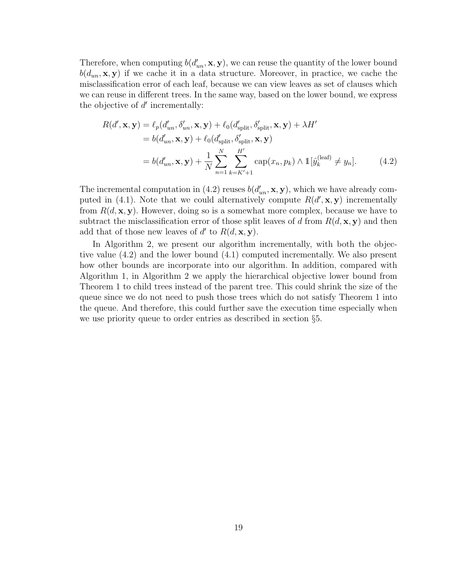Therefore, when computing  $b(d'_{un}, \mathbf{x}, \mathbf{y})$ , we can reuse the quantity of the lower bound  $b(d_{un}, \mathbf{x}, \mathbf{y})$  if we cache it in a data structure. Moreover, in practice, we cache the misclassification error of each leaf, because we can view leaves as set of clauses which we can reuse in different trees. In the same way, based on the lower bound, we express the objective of  $d'$  incrementally:

$$
R(d', \mathbf{x}, \mathbf{y}) = \ell_p(d'_{un}, \delta'_{un}, \mathbf{x}, \mathbf{y}) + \ell_0(d'_{split}, \delta'_{split}, \mathbf{x}, \mathbf{y}) + \lambda H'
$$
  
=  $b(d'_{un}, \mathbf{x}, \mathbf{y}) + \ell_0(d'_{split}, \delta'_{split}, \mathbf{x}, \mathbf{y})$   
=  $b(d'_{un}, \mathbf{x}, \mathbf{y}) + \frac{1}{N} \sum_{n=1}^{N} \sum_{k=K'+1}^{H'} \text{cap}(x_n, p_k) \wedge \mathbb{1}[\hat{y}_k^{(leaf)} \neq y_n].$  (4.2)

The incremental computation in (4.2) reuses  $b(d'_{un}, \mathbf{x}, \mathbf{y})$ , which we have already computed in (4.1). Note that we could alternatively compute  $R(d',\mathbf{x},\mathbf{y})$  incrementally from  $R(d, \mathbf{x}, \mathbf{y})$ . However, doing so is a somewhat more complex, because we have to subtract the misclassification error of those split leaves of d from  $R(d, \mathbf{x}, \mathbf{y})$  and then add that of those new leaves of  $d'$  to  $R(d, \mathbf{x}, \mathbf{y})$ .

In Algorithm 2, we present our algorithm incrementally, with both the objective value (4.2) and the lower bound (4.1) computed incrementally. We also present how other bounds are incorporate into our algorithm. In addition, compared with Algorithm 1, in Algorithm 2 we apply the hierarchical objective lower bound from Theorem 1 to child trees instead of the parent tree. This could shrink the size of the queue since we do not need to push those trees which do not satisfy Theorem 1 into the queue. And therefore, this could further save the execution time especially when we use priority queue to order entries as described in section §5.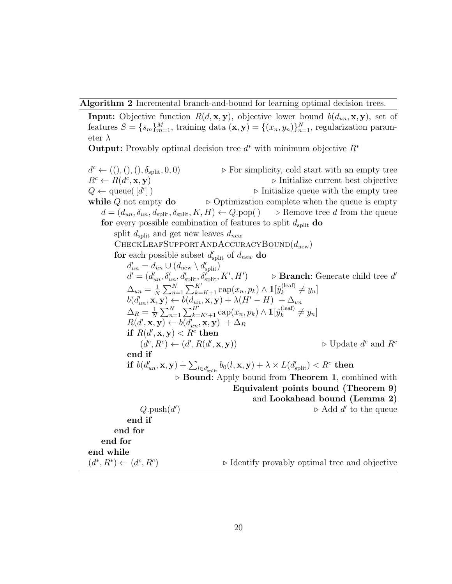Algorithm 2 Incremental branch-and-bound for learning optimal decision trees.

**Input:** Objective function  $R(d, \mathbf{x}, \mathbf{y})$ , objective lower bound  $b(d_{un}, \mathbf{x}, \mathbf{y})$ , set of features  $S = \{s_m\}_{m=1}^M$ , training data  $(\mathbf{x}, \mathbf{y}) = \{(x_n, y_n)\}_{n=1}^N$ , regularization parameter  $\lambda$ 

**Output:** Provably optimal decision tree  $d^*$  with minimum objective  $R^*$ 

 $d^c \leftarrow ((), (), (), \delta_{split}, 0, 0)$  $\triangleright$  For simplicity, cold start with an empty tree  $R^c \leftarrow R(d^c)$  $\triangleright$  Initialize current best objective  $Q \leftarrow$  queue( $\left[d^c\right]$  $\triangleright$  Initialize queue with the empty tree while Q not empty  $\bf{do}$   $\triangleright$  Optimization complete when the queue is empty  $d = (d_{un}, \delta_{un}, d_{split}, \delta_{split}, K, H) \leftarrow Q.\text{pop}() \Rightarrow$  Remove tree d from the queue for every possible combination of features to split  $d_{split}$  do split  $d_{split}$  and get new leaves  $d_{new}$ CHECKLEAFSUPPORTANDACCURACYBOUND $(d_{\text{new}})$ for each possible subset  $d'_{split}$  of  $d_{new}$  do  $d'_{un} = d_{un} \cup (d_{\text{new}} \setminus d'_{\text{split}})$  $d' = (d'_{un}, \delta'_{un}, d'_{split}, \delta'_{split}, K', H')$   $\triangleright$  **Branch**: Generate child tree d'  $\Delta_{un} = \frac{1}{N}$  $\frac{1}{N}\sum_{n=1}^{N}\sum_{k=K+1}^{K'} \text{cap}(x_n, p_k) \wedge \mathbb{1}[\hat{y}_k^{\text{(leaf)}}]$  $y_k^{\text{(leaf)}} \neq y_n$  $b(d'_{un}, \mathbf{x}, \mathbf{y}) \leftarrow b(d_{un}, \mathbf{x}, \mathbf{y}) + \lambda (H' - H) + \Delta_{un}$  $\Delta_R = \frac{1}{N}$  $\frac{1}{N} \sum_{n=1}^{N} \sum_{k=K'+1}^{H'} \text{cap}(x_n, p_k) \wedge \mathbb{1}[\hat{y}_k^{\text{(leaf)}}]$  $y_k^{\text{(leaf)}} \neq y_n$  $R(d',\mathbf{x}, \mathbf{y}) \leftarrow b(d'_{un}, \mathbf{x}, \mathbf{y}) + \Delta_R$ if  $R(d',\mathbf{x}, \mathbf{y}) < R^c$  then  $(d^c, R^c) \leftarrow (d', R(d'))$  $(\mathbf{x}, \mathbf{y})$   $\triangleright$  Update  $d^c$  and  $R^c$ end if  $\textbf{if}\,\, b(d'_{un},\mathbf{x},\mathbf{y})+\sum_{l\in d'_{\text{split}}}b_0(l,\mathbf{x},\mathbf{y})+\lambda\times L(d'_{\text{split}})$  $\triangleright$  Bound: Apply bound from Theorem 1, combined with Equivalent points bound (Theorem 9) and Lookahead bound (Lemma 2)  $Q$ .push $(d'$  $\triangleright$  Add d' to the queue end if end for end for end while  $(d^*, R^*) \leftarrow (d^c, R^c)$  $\triangleright$  Identify provably optimal tree and objective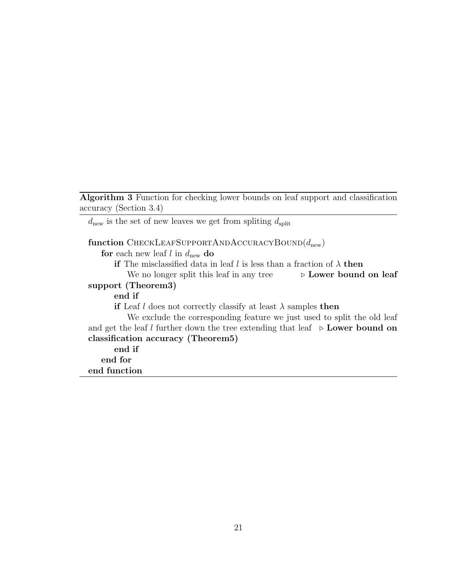Algorithm 3 Function for checking lower bounds on leaf support and classification accuracy (Section 3.4)

 $d_{\text{new}}$  is the set of new leaves we get from spliting  $d_{\text{split}}$ 

#### function CHECKLEAFSUPPORTANDACCURACYBOUND $(d_{\text{new}})$

for each new leaf  $l$  in  $d_{\text{new}}$  do

if The misclassified data in leaf l is less than a fraction of  $\lambda$  then

We no longer split this leaf in any tree  $\triangleright$  Lower bound on leaf support (Theorem3)

#### end if

if Leaf l does not correctly classify at least  $\lambda$  samples then

We exclude the corresponding feature we just used to split the old leaf and get the leaf l further down the tree extending that leaf  $\triangleright$  Lower bound on classification accuracy (Theorem5)

end if end for end function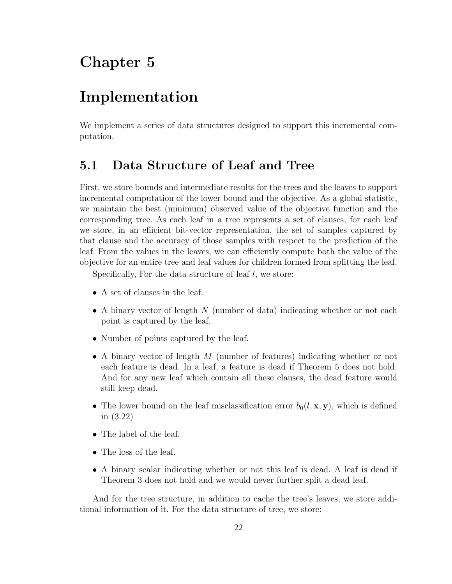## Chapter 5

### Implementation

We implement a series of data structures designed to support this incremental computation.

#### 5.1 Data Structure of Leaf and Tree

First, we store bounds and intermediate results for the trees and the leaves to support incremental computation of the lower bound and the objective. As a global statistic, we maintain the best (minimum) observed value of the objective function and the corresponding tree. As each leaf in a tree represents a set of clauses, for each leaf we store, in an efficient bit-vector representation, the set of samples captured by that clause and the accuracy of those samples with respect to the prediction of the leaf. From the values in the leaves, we can efficiently compute both the value of the objective for an entire tree and leaf values for children formed from splitting the leaf.

Specifically, For the data structure of leaf  $l$ , we store:

- A set of clauses in the leaf.
- A binary vector of length  $N$  (number of data) indicating whether or not each point is captured by the leaf.
- Number of points captured by the leaf.
- A binary vector of length M (number of features) indicating whether or not each feature is dead. In a leaf, a feature is dead if Theorem 5 does not hold. And for any new leaf which contain all these clauses, the dead feature would still keep dead.
- The lower bound on the leaf misclassification error  $b_0(l, \mathbf{x}, \mathbf{y})$ , which is defined in (3.22)
- The label of the leaf.
- The loss of the leaf.
- A binary scalar indicating whether or not this leaf is dead. A leaf is dead if Theorem 3 does not hold and we would never further split a dead leaf.

And for the tree structure, in addition to cache the tree's leaves, we store additional information of it. For the data structure of tree, we store: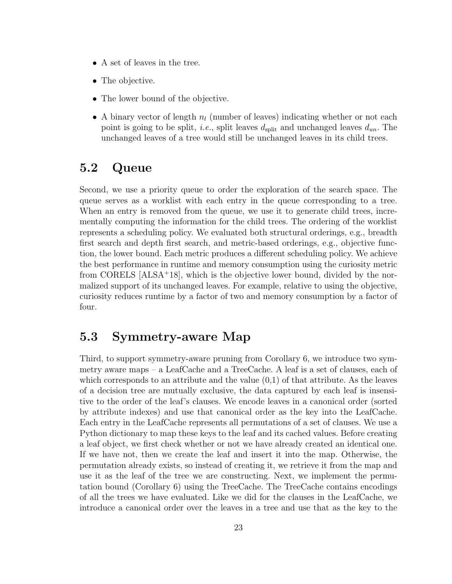- A set of leaves in the tree.
- The objective.
- The lower bound of the objective.
- A binary vector of length  $n_l$  (number of leaves) indicating whether or not each point is going to be split, *i.e.*, split leaves  $d_{split}$  and unchanged leaves  $d_{un}$ . The unchanged leaves of a tree would still be unchanged leaves in its child trees.

#### 5.2 Queue

Second, we use a priority queue to order the exploration of the search space. The queue serves as a worklist with each entry in the queue corresponding to a tree. When an entry is removed from the queue, we use it to generate child trees, incrementally computing the information for the child trees. The ordering of the worklist represents a scheduling policy. We evaluated both structural orderings, e.g., breadth first search and depth first search, and metric-based orderings, e.g., objective function, the lower bound. Each metric produces a different scheduling policy. We achieve the best performance in runtime and memory consumption using the curiosity metric from CORELS [ALSA<sup>+</sup>18], which is the objective lower bound, divided by the normalized support of its unchanged leaves. For example, relative to using the objective, curiosity reduces runtime by a factor of two and memory consumption by a factor of four.

#### 5.3 Symmetry-aware Map

Third, to support symmetry-aware pruning from Corollary 6, we introduce two symmetry aware maps – a LeafCache and a TreeCache. A leaf is a set of clauses, each of which corresponds to an attribute and the value  $(0,1)$  of that attribute. As the leaves of a decision tree are mutually exclusive, the data captured by each leaf is insensitive to the order of the leaf's clauses. We encode leaves in a canonical order (sorted by attribute indexes) and use that canonical order as the key into the LeafCache. Each entry in the LeafCache represents all permutations of a set of clauses. We use a Python dictionary to map these keys to the leaf and its cached values. Before creating a leaf object, we first check whether or not we have already created an identical one. If we have not, then we create the leaf and insert it into the map. Otherwise, the permutation already exists, so instead of creating it, we retrieve it from the map and use it as the leaf of the tree we are constructing. Next, we implement the permutation bound (Corollary 6) using the TreeCache. The TreeCache contains encodings of all the trees we have evaluated. Like we did for the clauses in the LeafCache, we introduce a canonical order over the leaves in a tree and use that as the key to the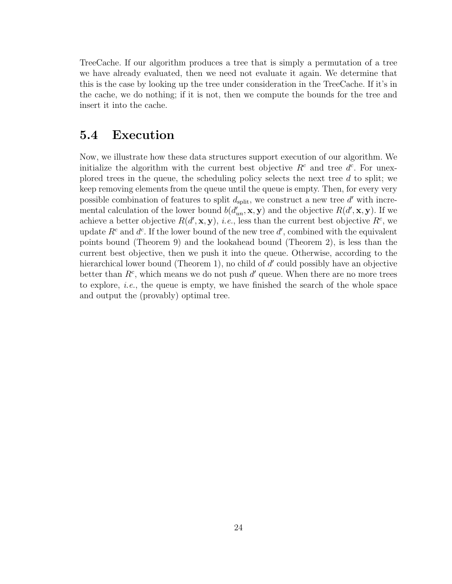TreeCache. If our algorithm produces a tree that is simply a permutation of a tree we have already evaluated, then we need not evaluate it again. We determine that this is the case by looking up the tree under consideration in the TreeCache. If it's in the cache, we do nothing; if it is not, then we compute the bounds for the tree and insert it into the cache.

#### 5.4 Execution

Now, we illustrate how these data structures support execution of our algorithm. We initialize the algorithm with the current best objective  $R<sup>c</sup>$  and tree  $d<sup>c</sup>$ . For unexplored trees in the queue, the scheduling policy selects the next tree  $d$  to split; we keep removing elements from the queue until the queue is empty. Then, for every very possible combination of features to split  $d_{split}$ , we construct a new tree  $d'$  with incremental calculation of the lower bound  $b(d'_{un}, \mathbf{x}, \mathbf{y})$  and the objective  $R(d', \mathbf{x}, \mathbf{y})$ . If we achieve a better objective  $R(d',\mathbf{x},\mathbf{y}), i.e.,$  less than the current best objective  $R^c$ , we update  $R^c$  and  $d^c$ . If the lower bound of the new tree  $d'$ , combined with the equivalent points bound (Theorem 9) and the lookahead bound (Theorem 2), is less than the current best objective, then we push it into the queue. Otherwise, according to the hierarchical lower bound (Theorem 1), no child of  $d'$  could possibly have an objective better than  $R^c$ , which means we do not push  $d'$  queue. When there are no more trees to explore, *i.e.*, the queue is empty, we have finished the search of the whole space and output the (provably) optimal tree.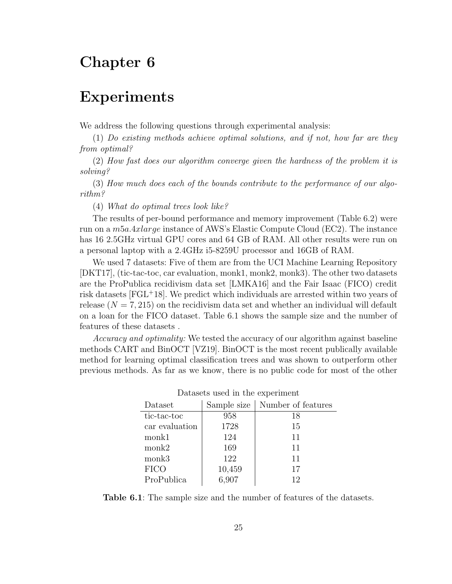# Chapter 6

### Experiments

We address the following questions through experimental analysis:

(1) Do existing methods achieve optimal solutions, and if not, how far are they from optimal?

(2) How fast does our algorithm converge given the hardness of the problem it is solving?

(3) How much does each of the bounds contribute to the performance of our algorithm?

(4) What do optimal trees look like?

The results of per-bound performance and memory improvement (Table 6.2) were run on a m5a.4xlarge instance of AWS's Elastic Compute Cloud (EC2). The instance has 16 2.5GHz virtual GPU cores and 64 GB of RAM. All other results were run on a personal laptop with a 2.4GHz i5-8259U processor and 16GB of RAM.

We used 7 datasets: Five of them are from the UCI Machine Learning Repository [DKT17], (tic-tac-toc, car evaluation, monk1, monk2, monk3). The other two datasets are the ProPublica recidivism data set [LMKA16] and the Fair Isaac (FICO) credit risk datasets [FGL<sup>+</sup>18]. We predict which individuals are arrested within two years of release  $(N = 7, 215)$  on the recidivism data set and whether an individual will default on a loan for the FICO dataset. Table 6.1 shows the sample size and the number of features of these datasets .

Accuracy and optimality: We tested the accuracy of our algorithm against baseline methods CART and BinOCT [VZ19]. BinOCT is the most recent publically available method for learning optimal classification trees and was shown to outperform other previous methods. As far as we know, there is no public code for most of the other

| раваясь изся не вне схреннение |        |                                  |  |  |  |
|--------------------------------|--------|----------------------------------|--|--|--|
| Dataset                        |        | Sample size   Number of features |  |  |  |
| tic-tac-toc                    | 958    | 18                               |  |  |  |
| car evaluation                 | 1728   | 15                               |  |  |  |
| monk1                          | 124    | 11                               |  |  |  |
| monk2                          | 169    | 11                               |  |  |  |
| monk3                          | 122    | 11                               |  |  |  |
| <b>FICO</b>                    | 10,459 | 17                               |  |  |  |
| ProPublica                     | 6,907  | 12                               |  |  |  |
|                                |        |                                  |  |  |  |

Datasets used in the experiment

Table 6.1: The sample size and the number of features of the datasets.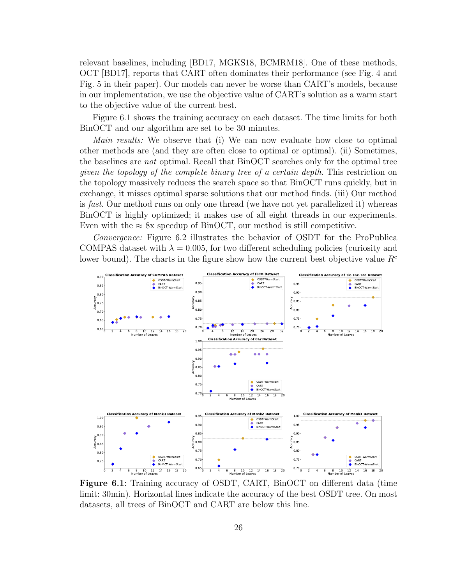relevant baselines, including [BD17, MGKS18, BCMRM18]. One of these methods, OCT [BD17], reports that CART often dominates their performance (see Fig. 4 and Fig. 5 in their paper). Our models can never be worse than CART's models, because in our implementation, we use the objective value of CART's solution as a warm start to the objective value of the current best.

Figure 6.1 shows the training accuracy on each dataset. The time limits for both BinOCT and our algorithm are set to be 30 minutes.

Main results: We observe that (i) We can now evaluate how close to optimal other methods are (and they are often close to optimal or optimal). (ii) Sometimes, the baselines are not optimal. Recall that BinOCT searches only for the optimal tree given the topology of the complete binary tree of a certain depth. This restriction on the topology massively reduces the search space so that BinOCT runs quickly, but in exchange, it misses optimal sparse solutions that our method finds. (iii) Our method is *fast*. Our method runs on only one thread (we have not yet parallelized it) whereas BinOCT is highly optimized; it makes use of all eight threads in our experiments. Even with the  $\approx 8x$  speedup of BinOCT, our method is still competitive.

Convergence: Figure 6.2 illustrates the behavior of OSDT for the ProPublica COMPAS dataset with  $\lambda = 0.005$ , for two different scheduling policies (curiosity and lower bound). The charts in the figure show how the current best objective value  $R<sup>c</sup>$ 



Figure 6.1: Training accuracy of OSDT, CART, BinOCT on different data (time limit: 30min). Horizontal lines indicate the accuracy of the best OSDT tree. On most datasets, all trees of BinOCT and CART are below this line.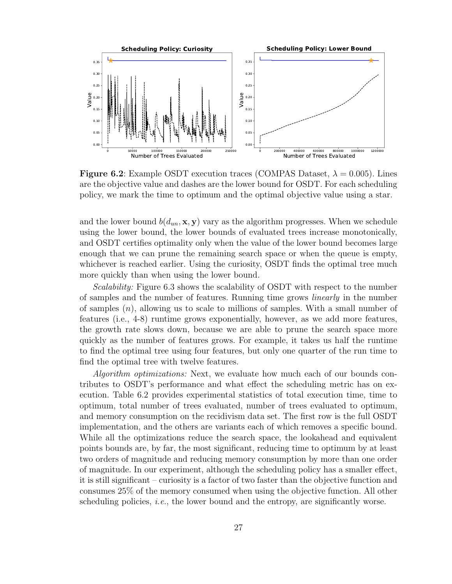

**Figure 6.2**: Example OSDT execution traces (COMPAS Dataset,  $\lambda = 0.005$ ). Lines are the objective value and dashes are the lower bound for OSDT. For each scheduling policy, we mark the time to optimum and the optimal objective value using a star.

and the lower bound  $b(d_{un}, \mathbf{x}, \mathbf{y})$  vary as the algorithm progresses. When we schedule using the lower bound, the lower bounds of evaluated trees increase monotonically, and OSDT certifies optimality only when the value of the lower bound becomes large enough that we can prune the remaining search space or when the queue is empty, whichever is reached earlier. Using the curiosity, OSDT finds the optimal tree much more quickly than when using the lower bound.

Scalability: Figure 6.3 shows the scalability of OSDT with respect to the number of samples and the number of features. Running time grows linearly in the number of samples  $(n)$ , allowing us to scale to millions of samples. With a small number of features (i.e., 4-8) runtime grows exponentially, however, as we add more features, the growth rate slows down, because we are able to prune the search space more quickly as the number of features grows. For example, it takes us half the runtime to find the optimal tree using four features, but only one quarter of the run time to find the optimal tree with twelve features.

Algorithm optimizations: Next, we evaluate how much each of our bounds contributes to OSDT's performance and what effect the scheduling metric has on execution. Table 6.2 provides experimental statistics of total execution time, time to optimum, total number of trees evaluated, number of trees evaluated to optimum, and memory consumption on the recidivism data set. The first row is the full OSDT implementation, and the others are variants each of which removes a specific bound. While all the optimizations reduce the search space, the lookahead and equivalent points bounds are, by far, the most significant, reducing time to optimum by at least two orders of magnitude and reducing memory consumption by more than one order of magnitude. In our experiment, although the scheduling policy has a smaller effect, it is still significant – curiosity is a factor of two faster than the objective function and consumes 25% of the memory consumed when using the objective function. All other scheduling policies, *i.e.*, the lower bound and the entropy, are significantly worse.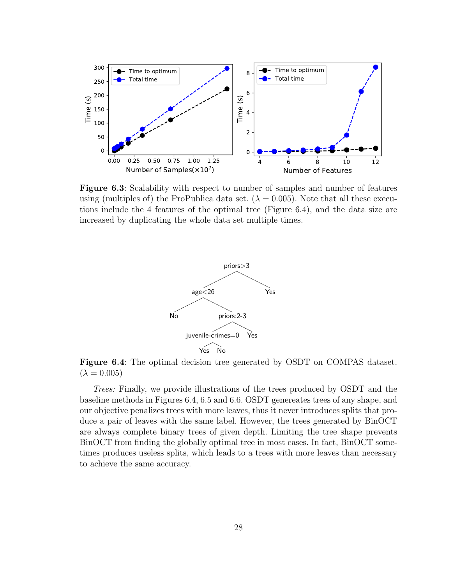

Figure 6.3: Scalability with respect to number of samples and number of features using (multiples of) the ProPublica data set. ( $\lambda = 0.005$ ). Note that all these executions include the 4 features of the optimal tree (Figure 6.4), and the data size are increased by duplicating the whole data set multiple times.



Figure 6.4: The optimal decision tree generated by OSDT on COMPAS dataset.  $(\lambda = 0.005)$ 

Trees: Finally, we provide illustrations of the trees produced by OSDT and the baseline methods in Figures 6.4, 6.5 and 6.6. OSDT genereates trees of any shape, and our objective penalizes trees with more leaves, thus it never introduces splits that produce a pair of leaves with the same label. However, the trees generated by BinOCT are always complete binary trees of given depth. Limiting the tree shape prevents BinOCT from finding the globally optimal tree in most cases. In fact, BinOCT sometimes produces useless splits, which leads to a trees with more leaves than necessary to achieve the same accuracy.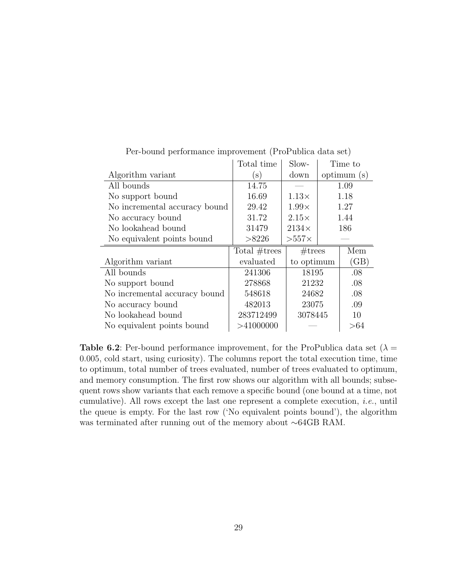|                               | Total time      | Slow-        |         | Time to    |
|-------------------------------|-----------------|--------------|---------|------------|
| Algorithm variant             | $(\mathbf{s})$  | down         |         | optimum(s) |
| All bounds                    | 14.75           |              | 1.09    |            |
| No support bound              | 16.69           | $1.13\times$ | 1.18    |            |
| No incremental accuracy bound | 29.42           | $1.99\times$ | 1.27    |            |
| No accuracy bound             | 31.72           | $2.15\times$ | 1.44    |            |
| No lookahead bound            | 31479           | $2134\times$ | 186     |            |
| No equivalent points bound    | >8226           | $>557\times$ |         |            |
|                               | Total $#trees$  | #trees       |         | Mem        |
| Algorithm variant             | evaluated       | to optimum   |         | (GB)       |
| All bounds                    | 241306          | 18195        |         | .08        |
| No support bound              | 278868          | 21232        |         | .08        |
| No incremental accuracy bound | 24682<br>548618 |              |         | .08        |
| No accuracy bound             | 482013<br>23075 |              |         | .09        |
| No lookahead bound            | 283712499       |              | 3078445 |            |
| No equivalent points bound    | >41000000       |              |         | >64        |

Per-bound performance improvement (ProPublica data set)

**Table 6.2**: Per-bound performance improvement, for the ProPublica data set ( $\lambda$  = 0.005, cold start, using curiosity). The columns report the total execution time, time to optimum, total number of trees evaluated, number of trees evaluated to optimum, and memory consumption. The first row shows our algorithm with all bounds; subsequent rows show variants that each remove a specific bound (one bound at a time, not cumulative). All rows except the last one represent a complete execution, i.e., until the queue is empty. For the last row ('No equivalent points bound'), the algorithm was terminated after running out of the memory about ∼64GB RAM.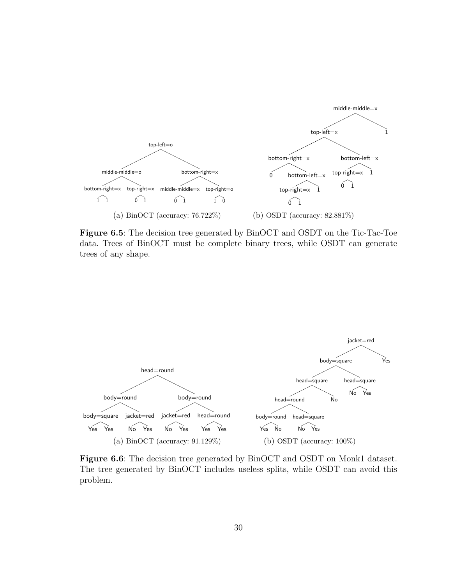

Figure 6.5: The decision tree generated by BinOCT and OSDT on the Tic-Tac-Toe data. Trees of BinOCT must be complete binary trees, while OSDT can generate trees of any shape.



Figure 6.6: The decision tree generated by BinOCT and OSDT on Monk1 dataset. The tree generated by BinOCT includes useless splits, while OSDT can avoid this problem.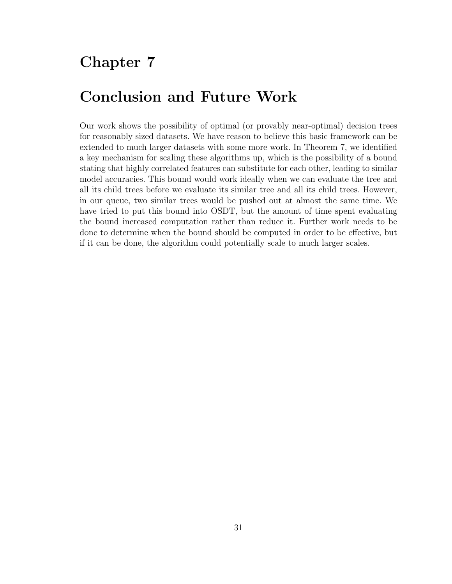# Chapter 7

## Conclusion and Future Work

Our work shows the possibility of optimal (or provably near-optimal) decision trees for reasonably sized datasets. We have reason to believe this basic framework can be extended to much larger datasets with some more work. In Theorem 7, we identified a key mechanism for scaling these algorithms up, which is the possibility of a bound stating that highly correlated features can substitute for each other, leading to similar model accuracies. This bound would work ideally when we can evaluate the tree and all its child trees before we evaluate its similar tree and all its child trees. However, in our queue, two similar trees would be pushed out at almost the same time. We have tried to put this bound into OSDT, but the amount of time spent evaluating the bound increased computation rather than reduce it. Further work needs to be done to determine when the bound should be computed in order to be effective, but if it can be done, the algorithm could potentially scale to much larger scales.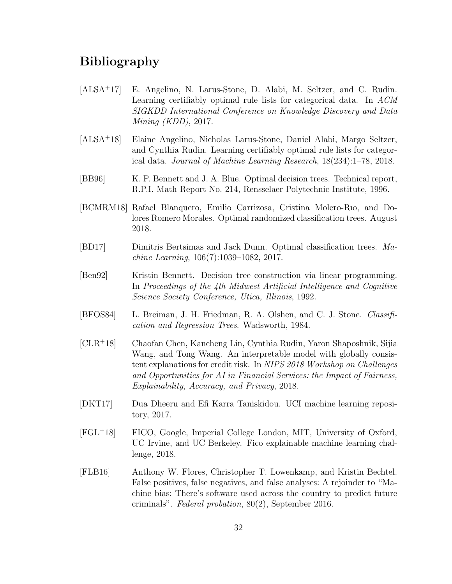#### Bibliography

- [ALSA<sup>+</sup>17] E. Angelino, N. Larus-Stone, D. Alabi, M. Seltzer, and C. Rudin. Learning certifiably optimal rule lists for categorical data. In ACM SIGKDD International Conference on Knowledge Discovery and Data Mining (KDD), 2017.
- [ALSA<sup>+</sup>18] Elaine Angelino, Nicholas Larus-Stone, Daniel Alabi, Margo Seltzer, and Cynthia Rudin. Learning certifiably optimal rule lists for categorical data. Journal of Machine Learning Research, 18(234):1–78, 2018.
- [BB96] K. P. Bennett and J. A. Blue. Optimal decision trees. Technical report, R.P.I. Math Report No. 214, Rensselaer Polytechnic Institute, 1996.
- [BCMRM18] Rafael Blanquero, Emilio Carrizosa, Cristina Molero-Rıo, and Dolores Romero Morales. Optimal randomized classification trees. August 2018.
- [BD17] Dimitris Bertsimas and Jack Dunn. Optimal classification trees. Machine Learning, 106(7):1039–1082, 2017.
- [Ben92] Kristin Bennett. Decision tree construction via linear programming. In Proceedings of the 4th Midwest Artificial Intelligence and Cognitive Science Society Conference, Utica, Illinois, 1992.
- [BFOS84] L. Breiman, J. H. Friedman, R. A. Olshen, and C. J. Stone. Classification and Regression Trees. Wadsworth, 1984.
- [CLR<sup>+</sup>18] Chaofan Chen, Kancheng Lin, Cynthia Rudin, Yaron Shaposhnik, Sijia Wang, and Tong Wang. An interpretable model with globally consistent explanations for credit risk. In NIPS 2018 Workshop on Challenges and Opportunities for AI in Financial Services: the Impact of Fairness, Explainability, Accuracy, and Privacy, 2018.
- [DKT17] Dua Dheeru and Efi Karra Taniskidou. UCI machine learning repository, 2017.
- [FGL<sup>+</sup>18] FICO, Google, Imperial College London, MIT, University of Oxford, UC Irvine, and UC Berkeley. Fico explainable machine learning challenge, 2018.
- [FLB16] Anthony W. Flores, Christopher T. Lowenkamp, and Kristin Bechtel. False positives, false negatives, and false analyses: A rejoinder to "Machine bias: There's software used across the country to predict future criminals". Federal probation, 80(2), September 2016.